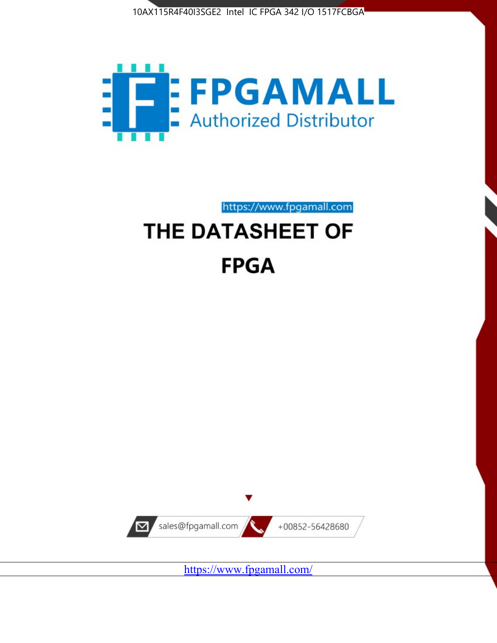



https://www.fpgamall.com

# THE DATASHEET OF **FPGA**



<https://www.fpgamall.com/>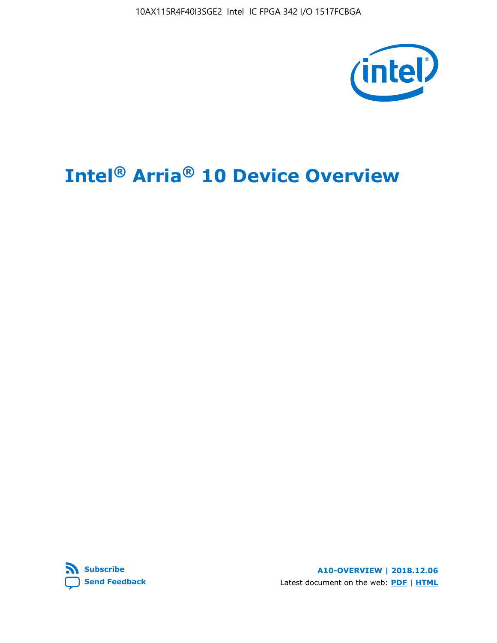10AX115R4F40I3SGE2 Intel IC FPGA 342 I/O 1517FCBGA



# **Intel® Arria® 10 Device Overview**



**A10-OVERVIEW | 2018.12.06** Latest document on the web: **[PDF](https://www.intel.com/content/dam/www/programmable/us/en/pdfs/literature/hb/arria-10/a10_overview.pdf)** | **[HTML](https://www.intel.com/content/www/us/en/programmable/documentation/sam1403480274650.html)**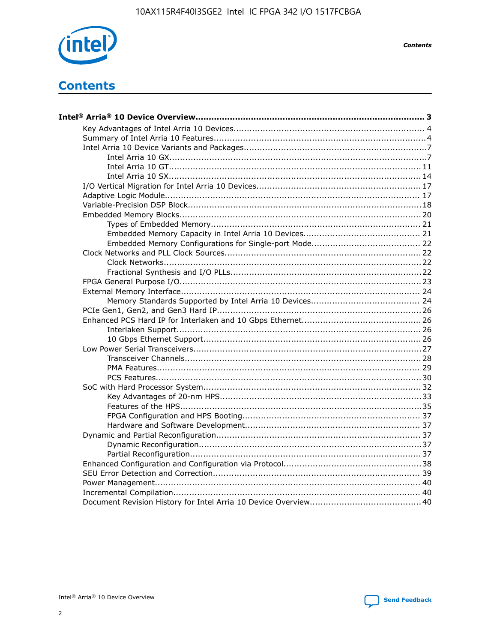

**Contents** 

# **Contents**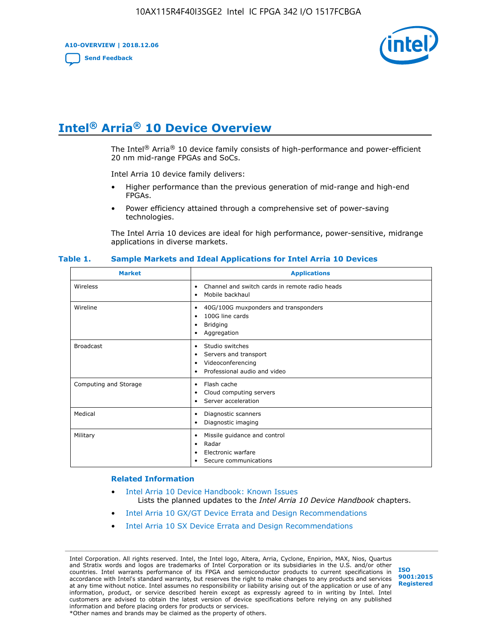**A10-OVERVIEW | 2018.12.06**

**[Send Feedback](mailto:FPGAtechdocfeedback@intel.com?subject=Feedback%20on%20Intel%20Arria%2010%20Device%20Overview%20(A10-OVERVIEW%202018.12.06)&body=We%20appreciate%20your%20feedback.%20In%20your%20comments,%20also%20specify%20the%20page%20number%20or%20paragraph.%20Thank%20you.)**



# **Intel® Arria® 10 Device Overview**

The Intel<sup>®</sup> Arria<sup>®</sup> 10 device family consists of high-performance and power-efficient 20 nm mid-range FPGAs and SoCs.

Intel Arria 10 device family delivers:

- Higher performance than the previous generation of mid-range and high-end FPGAs.
- Power efficiency attained through a comprehensive set of power-saving technologies.

The Intel Arria 10 devices are ideal for high performance, power-sensitive, midrange applications in diverse markets.

| <b>Market</b>         | <b>Applications</b>                                                                                               |
|-----------------------|-------------------------------------------------------------------------------------------------------------------|
| Wireless              | Channel and switch cards in remote radio heads<br>٠<br>Mobile backhaul<br>٠                                       |
| Wireline              | 40G/100G muxponders and transponders<br>٠<br>100G line cards<br>٠<br><b>Bridging</b><br>٠<br>Aggregation<br>٠     |
| <b>Broadcast</b>      | Studio switches<br>٠<br>Servers and transport<br>٠<br>Videoconferencing<br>٠<br>Professional audio and video<br>٠ |
| Computing and Storage | Flash cache<br>٠<br>Cloud computing servers<br>٠<br>Server acceleration<br>٠                                      |
| Medical               | Diagnostic scanners<br>٠<br>Diagnostic imaging<br>٠                                                               |
| Military              | Missile guidance and control<br>٠<br>Radar<br>٠<br>Electronic warfare<br>٠<br>Secure communications<br>٠          |

#### **Table 1. Sample Markets and Ideal Applications for Intel Arria 10 Devices**

#### **Related Information**

- [Intel Arria 10 Device Handbook: Known Issues](http://www.altera.com/support/kdb/solutions/rd07302013_646.html) Lists the planned updates to the *Intel Arria 10 Device Handbook* chapters.
- [Intel Arria 10 GX/GT Device Errata and Design Recommendations](https://www.intel.com/content/www/us/en/programmable/documentation/agz1493851706374.html#yqz1494433888646)
- [Intel Arria 10 SX Device Errata and Design Recommendations](https://www.intel.com/content/www/us/en/programmable/documentation/cru1462832385668.html#cru1462832558642)

Intel Corporation. All rights reserved. Intel, the Intel logo, Altera, Arria, Cyclone, Enpirion, MAX, Nios, Quartus and Stratix words and logos are trademarks of Intel Corporation or its subsidiaries in the U.S. and/or other countries. Intel warrants performance of its FPGA and semiconductor products to current specifications in accordance with Intel's standard warranty, but reserves the right to make changes to any products and services at any time without notice. Intel assumes no responsibility or liability arising out of the application or use of any information, product, or service described herein except as expressly agreed to in writing by Intel. Intel customers are advised to obtain the latest version of device specifications before relying on any published information and before placing orders for products or services. \*Other names and brands may be claimed as the property of others.

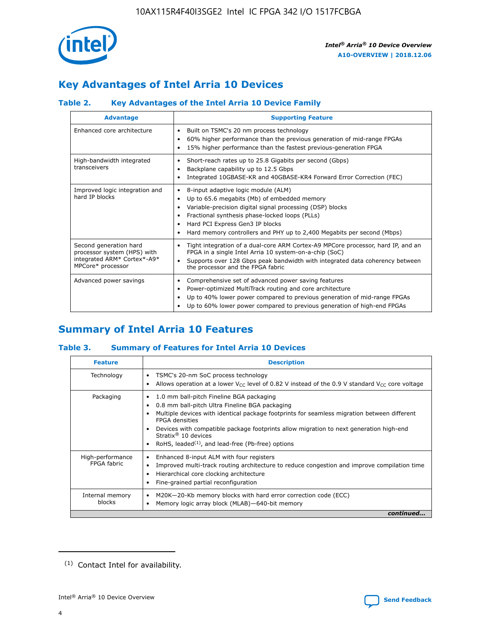

# **Key Advantages of Intel Arria 10 Devices**

## **Table 2. Key Advantages of the Intel Arria 10 Device Family**

| <b>Advantage</b>                                                                                          | <b>Supporting Feature</b>                                                                                                                                                                                                                                                                                                     |
|-----------------------------------------------------------------------------------------------------------|-------------------------------------------------------------------------------------------------------------------------------------------------------------------------------------------------------------------------------------------------------------------------------------------------------------------------------|
| Enhanced core architecture                                                                                | Built on TSMC's 20 nm process technology<br>٠<br>60% higher performance than the previous generation of mid-range FPGAs<br>٠<br>15% higher performance than the fastest previous-generation FPGA<br>٠                                                                                                                         |
| High-bandwidth integrated<br>transceivers                                                                 | Short-reach rates up to 25.8 Gigabits per second (Gbps)<br>٠<br>Backplane capability up to 12.5 Gbps<br>٠<br>Integrated 10GBASE-KR and 40GBASE-KR4 Forward Error Correction (FEC)<br>٠                                                                                                                                        |
| Improved logic integration and<br>hard IP blocks                                                          | 8-input adaptive logic module (ALM)<br>٠<br>Up to 65.6 megabits (Mb) of embedded memory<br>٠<br>Variable-precision digital signal processing (DSP) blocks<br>Fractional synthesis phase-locked loops (PLLs)<br>٠<br>Hard PCI Express Gen3 IP blocks<br>Hard memory controllers and PHY up to 2,400 Megabits per second (Mbps) |
| Second generation hard<br>processor system (HPS) with<br>integrated ARM* Cortex*-A9*<br>MPCore* processor | Tight integration of a dual-core ARM Cortex-A9 MPCore processor, hard IP, and an<br>٠<br>FPGA in a single Intel Arria 10 system-on-a-chip (SoC)<br>Supports over 128 Gbps peak bandwidth with integrated data coherency between<br>$\bullet$<br>the processor and the FPGA fabric                                             |
| Advanced power savings                                                                                    | Comprehensive set of advanced power saving features<br>٠<br>Power-optimized MultiTrack routing and core architecture<br>٠<br>Up to 40% lower power compared to previous generation of mid-range FPGAs<br>٠<br>Up to 60% lower power compared to previous generation of high-end FPGAs                                         |

# **Summary of Intel Arria 10 Features**

## **Table 3. Summary of Features for Intel Arria 10 Devices**

| <b>Feature</b>                  | <b>Description</b>                                                                                                                                                                                                                                                                                                                                                                                           |
|---------------------------------|--------------------------------------------------------------------------------------------------------------------------------------------------------------------------------------------------------------------------------------------------------------------------------------------------------------------------------------------------------------------------------------------------------------|
| Technology                      | TSMC's 20-nm SoC process technology<br>Allows operation at a lower $V_{\text{CC}}$ level of 0.82 V instead of the 0.9 V standard $V_{\text{CC}}$ core voltage                                                                                                                                                                                                                                                |
| Packaging                       | 1.0 mm ball-pitch Fineline BGA packaging<br>٠<br>0.8 mm ball-pitch Ultra Fineline BGA packaging<br>Multiple devices with identical package footprints for seamless migration between different<br><b>FPGA</b> densities<br>Devices with compatible package footprints allow migration to next generation high-end<br>Stratix <sup>®</sup> 10 devices<br>RoHS, leaded $(1)$ , and lead-free (Pb-free) options |
| High-performance<br>FPGA fabric | Enhanced 8-input ALM with four registers<br>Improved multi-track routing architecture to reduce congestion and improve compilation time<br>Hierarchical core clocking architecture<br>Fine-grained partial reconfiguration                                                                                                                                                                                   |
| Internal memory<br>blocks       | M20K-20-Kb memory blocks with hard error correction code (ECC)<br>Memory logic array block (MLAB)-640-bit memory                                                                                                                                                                                                                                                                                             |
|                                 | continued                                                                                                                                                                                                                                                                                                                                                                                                    |



<sup>(1)</sup> Contact Intel for availability.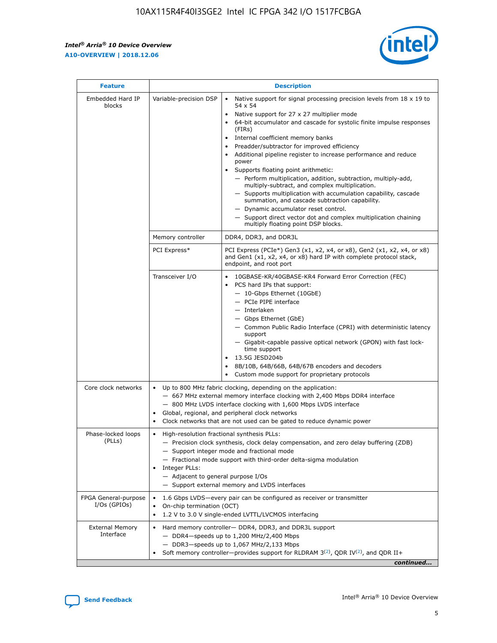r



| <b>Feature</b>                         | <b>Description</b>                                                                                             |                                                                                                                                                                                                                                                                                                                                                                                                                                                                                                                                                                                                                                                                                                                                                                                                                                        |  |  |  |  |  |
|----------------------------------------|----------------------------------------------------------------------------------------------------------------|----------------------------------------------------------------------------------------------------------------------------------------------------------------------------------------------------------------------------------------------------------------------------------------------------------------------------------------------------------------------------------------------------------------------------------------------------------------------------------------------------------------------------------------------------------------------------------------------------------------------------------------------------------------------------------------------------------------------------------------------------------------------------------------------------------------------------------------|--|--|--|--|--|
| Embedded Hard IP<br>blocks             | Variable-precision DSP                                                                                         | Native support for signal processing precision levels from $18 \times 19$ to<br>54 x 54<br>Native support for 27 x 27 multiplier mode<br>64-bit accumulator and cascade for systolic finite impulse responses<br>(FIRs)<br>Internal coefficient memory banks<br>$\bullet$<br>Preadder/subtractor for improved efficiency<br>Additional pipeline register to increase performance and reduce<br>power<br>Supports floating point arithmetic:<br>- Perform multiplication, addition, subtraction, multiply-add,<br>multiply-subtract, and complex multiplication.<br>- Supports multiplication with accumulation capability, cascade<br>summation, and cascade subtraction capability.<br>- Dynamic accumulator reset control.<br>- Support direct vector dot and complex multiplication chaining<br>multiply floating point DSP blocks. |  |  |  |  |  |
|                                        | Memory controller                                                                                              | DDR4, DDR3, and DDR3L                                                                                                                                                                                                                                                                                                                                                                                                                                                                                                                                                                                                                                                                                                                                                                                                                  |  |  |  |  |  |
|                                        | PCI Express*                                                                                                   | PCI Express (PCIe*) Gen3 (x1, x2, x4, or x8), Gen2 (x1, x2, x4, or x8)<br>and Gen1 (x1, x2, x4, or x8) hard IP with complete protocol stack,<br>endpoint, and root port                                                                                                                                                                                                                                                                                                                                                                                                                                                                                                                                                                                                                                                                |  |  |  |  |  |
|                                        | Transceiver I/O                                                                                                | 10GBASE-KR/40GBASE-KR4 Forward Error Correction (FEC)<br>PCS hard IPs that support:<br>$\bullet$<br>- 10-Gbps Ethernet (10GbE)<br>- PCIe PIPE interface<br>$-$ Interlaken<br>- Gbps Ethernet (GbE)<br>- Common Public Radio Interface (CPRI) with deterministic latency<br>support<br>- Gigabit-capable passive optical network (GPON) with fast lock-<br>time support<br>13.5G JESD204b<br>$\bullet$<br>8B/10B, 64B/66B, 64B/67B encoders and decoders<br>Custom mode support for proprietary protocols                                                                                                                                                                                                                                                                                                                               |  |  |  |  |  |
| Core clock networks                    | $\bullet$<br>$\bullet$                                                                                         | Up to 800 MHz fabric clocking, depending on the application:<br>- 667 MHz external memory interface clocking with 2,400 Mbps DDR4 interface<br>- 800 MHz LVDS interface clocking with 1,600 Mbps LVDS interface<br>Global, regional, and peripheral clock networks<br>Clock networks that are not used can be gated to reduce dynamic power                                                                                                                                                                                                                                                                                                                                                                                                                                                                                            |  |  |  |  |  |
| Phase-locked loops<br>(PLLs)           | High-resolution fractional synthesis PLLs:<br>$\bullet$<br>Integer PLLs:<br>- Adjacent to general purpose I/Os | - Precision clock synthesis, clock delay compensation, and zero delay buffering (ZDB)<br>- Support integer mode and fractional mode<br>- Fractional mode support with third-order delta-sigma modulation<br>- Support external memory and LVDS interfaces                                                                                                                                                                                                                                                                                                                                                                                                                                                                                                                                                                              |  |  |  |  |  |
| FPGA General-purpose<br>$I/Os$ (GPIOs) | On-chip termination (OCT)                                                                                      | 1.6 Gbps LVDS-every pair can be configured as receiver or transmitter<br>1.2 V to 3.0 V single-ended LVTTL/LVCMOS interfacing                                                                                                                                                                                                                                                                                                                                                                                                                                                                                                                                                                                                                                                                                                          |  |  |  |  |  |
| <b>External Memory</b><br>Interface    |                                                                                                                | Hard memory controller- DDR4, DDR3, and DDR3L support<br>$-$ DDR4-speeds up to 1,200 MHz/2,400 Mbps<br>- DDR3-speeds up to 1,067 MHz/2,133 Mbps<br>Soft memory controller—provides support for RLDRAM $3^{(2)}$ , QDR IV $^{(2)}$ , and QDR II+<br>continued                                                                                                                                                                                                                                                                                                                                                                                                                                                                                                                                                                           |  |  |  |  |  |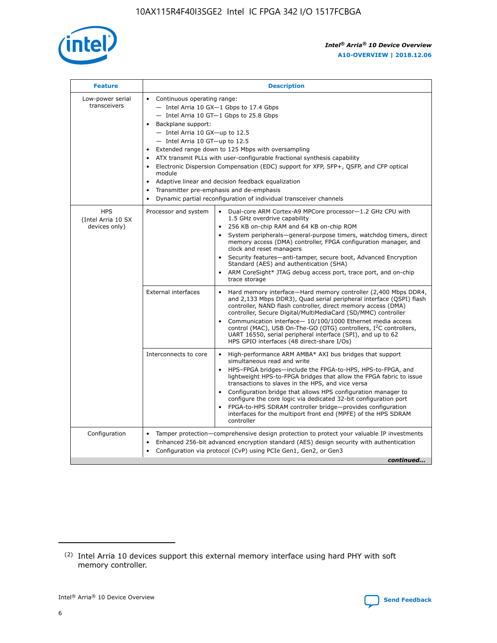

| <b>Feature</b>                                    | <b>Description</b>                                                                                                                                                                                                                                                                                                                                                                                                                                                                                                                                                                                                                           |  |  |  |  |  |  |  |
|---------------------------------------------------|----------------------------------------------------------------------------------------------------------------------------------------------------------------------------------------------------------------------------------------------------------------------------------------------------------------------------------------------------------------------------------------------------------------------------------------------------------------------------------------------------------------------------------------------------------------------------------------------------------------------------------------------|--|--|--|--|--|--|--|
| Low-power serial<br>transceivers                  | • Continuous operating range:<br>- Intel Arria 10 GX-1 Gbps to 17.4 Gbps<br>- Intel Arria 10 GT-1 Gbps to 25.8 Gbps<br>Backplane support:<br>$-$ Intel Arria 10 GX-up to 12.5<br>$-$ Intel Arria 10 GT-up to 12.5<br>Extended range down to 125 Mbps with oversampling<br>ATX transmit PLLs with user-configurable fractional synthesis capability<br>Electronic Dispersion Compensation (EDC) support for XFP, SFP+, QSFP, and CFP optical<br>module<br>• Adaptive linear and decision feedback equalization<br>Transmitter pre-emphasis and de-emphasis<br>$\bullet$<br>Dynamic partial reconfiguration of individual transceiver channels |  |  |  |  |  |  |  |
| <b>HPS</b><br>(Intel Arria 10 SX<br>devices only) | Dual-core ARM Cortex-A9 MPCore processor-1.2 GHz CPU with<br>Processor and system<br>$\bullet$<br>1.5 GHz overdrive capability<br>256 KB on-chip RAM and 64 KB on-chip ROM<br>System peripherals-general-purpose timers, watchdog timers, direct<br>memory access (DMA) controller, FPGA configuration manager, and<br>clock and reset managers<br>Security features-anti-tamper, secure boot, Advanced Encryption<br>$\bullet$<br>Standard (AES) and authentication (SHA)<br>ARM CoreSight* JTAG debug access port, trace port, and on-chip<br>trace storage                                                                                |  |  |  |  |  |  |  |
|                                                   | <b>External interfaces</b><br>Hard memory interface-Hard memory controller (2,400 Mbps DDR4,<br>$\bullet$<br>and 2,133 Mbps DDR3), Quad serial peripheral interface (QSPI) flash<br>controller, NAND flash controller, direct memory access (DMA)<br>controller, Secure Digital/MultiMediaCard (SD/MMC) controller<br>Communication interface-10/100/1000 Ethernet media access<br>$\bullet$<br>control (MAC), USB On-The-GO (OTG) controllers, I <sup>2</sup> C controllers,<br>UART 16550, serial peripheral interface (SPI), and up to 62<br>HPS GPIO interfaces (48 direct-share I/Os)                                                   |  |  |  |  |  |  |  |
|                                                   | High-performance ARM AMBA* AXI bus bridges that support<br>Interconnects to core<br>$\bullet$<br>simultaneous read and write<br>HPS-FPGA bridges-include the FPGA-to-HPS, HPS-to-FPGA, and<br>$\bullet$<br>lightweight HPS-to-FPGA bridges that allow the FPGA fabric to issue<br>transactions to slaves in the HPS, and vice versa<br>Configuration bridge that allows HPS configuration manager to<br>configure the core logic via dedicated 32-bit configuration port<br>FPGA-to-HPS SDRAM controller bridge-provides configuration<br>interfaces for the multiport front end (MPFE) of the HPS SDRAM<br>controller                       |  |  |  |  |  |  |  |
| Configuration                                     | Tamper protection—comprehensive design protection to protect your valuable IP investments<br>Enhanced 256-bit advanced encryption standard (AES) design security with authentication<br>٠<br>Configuration via protocol (CvP) using PCIe Gen1, Gen2, or Gen3<br>continued                                                                                                                                                                                                                                                                                                                                                                    |  |  |  |  |  |  |  |

<sup>(2)</sup> Intel Arria 10 devices support this external memory interface using hard PHY with soft memory controller.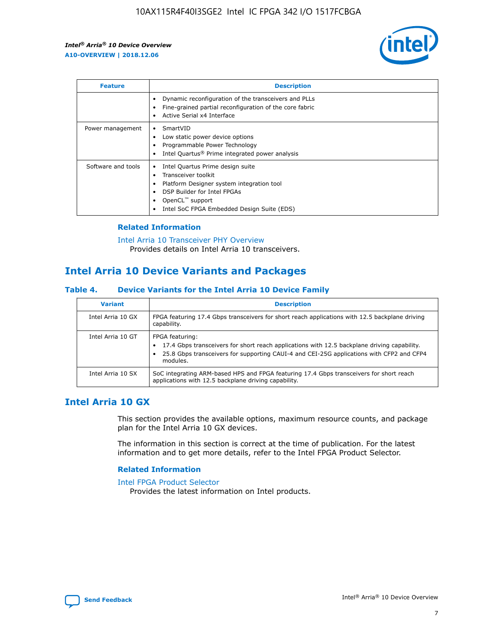

| <b>Feature</b>     | <b>Description</b>                                                                                                                                                                                               |
|--------------------|------------------------------------------------------------------------------------------------------------------------------------------------------------------------------------------------------------------|
|                    | Dynamic reconfiguration of the transceivers and PLLs<br>Fine-grained partial reconfiguration of the core fabric<br>Active Serial x4 Interface<br>$\bullet$                                                       |
| Power management   | SmartVID<br>Low static power device options<br>Programmable Power Technology<br>Intel Quartus <sup>®</sup> Prime integrated power analysis                                                                       |
| Software and tools | Intel Quartus Prime design suite<br>Transceiver toolkit<br>Platform Designer system integration tool<br>DSP Builder for Intel FPGAs<br>OpenCL <sup>™</sup> support<br>Intel SoC FPGA Embedded Design Suite (EDS) |

## **Related Information**

[Intel Arria 10 Transceiver PHY Overview](https://www.intel.com/content/www/us/en/programmable/documentation/nik1398707230472.html#nik1398706768037) Provides details on Intel Arria 10 transceivers.

# **Intel Arria 10 Device Variants and Packages**

#### **Table 4. Device Variants for the Intel Arria 10 Device Family**

| <b>Variant</b>    | <b>Description</b>                                                                                                                                                                                                     |
|-------------------|------------------------------------------------------------------------------------------------------------------------------------------------------------------------------------------------------------------------|
| Intel Arria 10 GX | FPGA featuring 17.4 Gbps transceivers for short reach applications with 12.5 backplane driving<br>capability.                                                                                                          |
| Intel Arria 10 GT | FPGA featuring:<br>17.4 Gbps transceivers for short reach applications with 12.5 backplane driving capability.<br>25.8 Gbps transceivers for supporting CAUI-4 and CEI-25G applications with CFP2 and CFP4<br>modules. |
| Intel Arria 10 SX | SoC integrating ARM-based HPS and FPGA featuring 17.4 Gbps transceivers for short reach<br>applications with 12.5 backplane driving capability.                                                                        |

## **Intel Arria 10 GX**

This section provides the available options, maximum resource counts, and package plan for the Intel Arria 10 GX devices.

The information in this section is correct at the time of publication. For the latest information and to get more details, refer to the Intel FPGA Product Selector.

#### **Related Information**

#### [Intel FPGA Product Selector](http://www.altera.com/products/selector/psg-selector.html) Provides the latest information on Intel products.

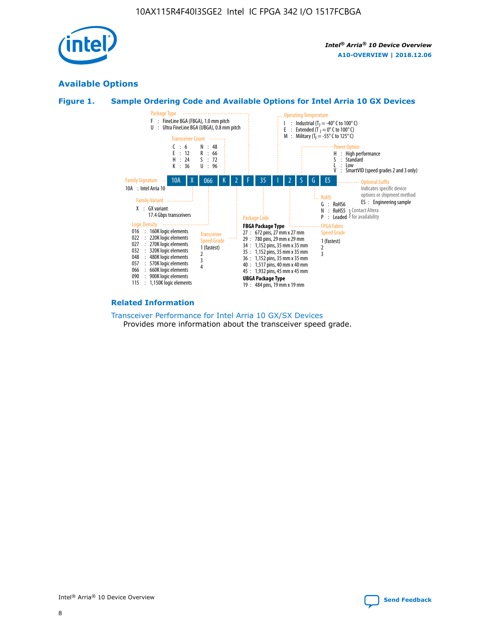

## **Available Options**





#### **Related Information**

[Transceiver Performance for Intel Arria 10 GX/SX Devices](https://www.intel.com/content/www/us/en/programmable/documentation/mcn1413182292568.html#mcn1413213965502) Provides more information about the transceiver speed grade.

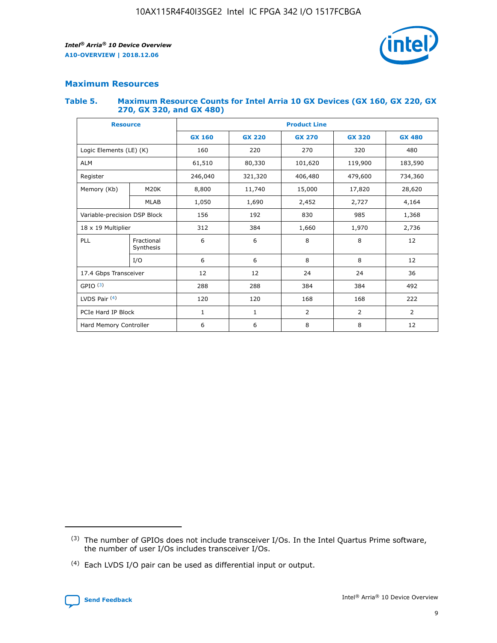

## **Maximum Resources**

#### **Table 5. Maximum Resource Counts for Intel Arria 10 GX Devices (GX 160, GX 220, GX 270, GX 320, and GX 480)**

| <b>Resource</b>              |                         | <b>Product Line</b> |                                |                    |                |                |  |  |  |
|------------------------------|-------------------------|---------------------|--------------------------------|--------------------|----------------|----------------|--|--|--|
|                              |                         | <b>GX 160</b>       | <b>GX 220</b><br><b>GX 270</b> |                    | <b>GX 320</b>  | <b>GX 480</b>  |  |  |  |
| Logic Elements (LE) (K)      |                         | 160                 | 320<br>220<br>270              |                    |                | 480            |  |  |  |
| <b>ALM</b>                   |                         | 61,510              | 80,330                         | 101,620            | 119,900        | 183,590        |  |  |  |
| Register                     |                         | 246,040             | 321,320                        | 479,600<br>406,480 |                | 734,360        |  |  |  |
| Memory (Kb)                  | M <sub>20</sub> K       | 8,800               | 11,740<br>15,000               |                    | 17,820         | 28,620         |  |  |  |
|                              | <b>MLAB</b>             | 1,050               | 1,690                          | 2,452              | 2,727          | 4,164          |  |  |  |
| Variable-precision DSP Block |                         | 156                 | 192                            | 830                | 985            | 1,368          |  |  |  |
| 18 x 19 Multiplier           |                         | 312                 | 384                            | 1,970<br>1,660     |                | 2,736          |  |  |  |
| PLL                          | Fractional<br>Synthesis | 6                   | 6                              | 8                  | 8              | 12             |  |  |  |
|                              | I/O                     | 6                   | 6                              | 8                  | 8              | 12             |  |  |  |
| 17.4 Gbps Transceiver        |                         | 12                  | 12                             | 24                 | 24             | 36             |  |  |  |
| GPIO <sup>(3)</sup>          |                         | 288                 | 288                            | 384                | 384            |                |  |  |  |
| LVDS Pair $(4)$              |                         | 120                 | 120                            | 168                | 168            | 222            |  |  |  |
| PCIe Hard IP Block           |                         | $\mathbf{1}$        | 1                              | $\overline{2}$     | $\overline{2}$ | $\overline{2}$ |  |  |  |
| Hard Memory Controller       |                         | 6                   | 6                              | 8                  | 8              |                |  |  |  |

<sup>(4)</sup> Each LVDS I/O pair can be used as differential input or output.



<sup>(3)</sup> The number of GPIOs does not include transceiver I/Os. In the Intel Quartus Prime software, the number of user I/Os includes transceiver I/Os.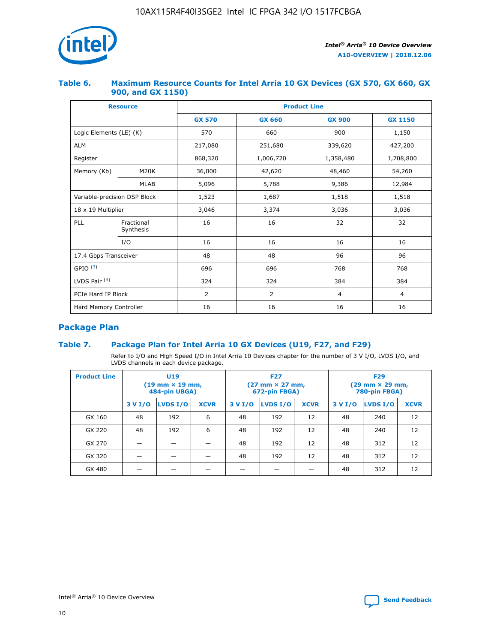

## **Table 6. Maximum Resource Counts for Intel Arria 10 GX Devices (GX 570, GX 660, GX 900, and GX 1150)**

|                              | <b>Resource</b>         | <b>Product Line</b> |                |                |                |  |  |  |
|------------------------------|-------------------------|---------------------|----------------|----------------|----------------|--|--|--|
|                              |                         | <b>GX 570</b>       | <b>GX 660</b>  | <b>GX 900</b>  | <b>GX 1150</b> |  |  |  |
| Logic Elements (LE) (K)      |                         | 570                 | 660            | 900            | 1,150          |  |  |  |
| <b>ALM</b>                   |                         | 217,080             | 251,680        | 339,620        | 427,200        |  |  |  |
| Register                     |                         | 868,320             | 1,006,720      |                | 1,708,800      |  |  |  |
| Memory (Kb)                  | <b>M20K</b>             | 36,000              | 42,620         | 48,460         | 54,260         |  |  |  |
|                              | <b>MLAB</b>             | 5,096               | 5,788          | 9,386          | 12,984         |  |  |  |
| Variable-precision DSP Block |                         | 1,523               | 1,687          | 1,518          | 1,518          |  |  |  |
| $18 \times 19$ Multiplier    |                         | 3,046               | 3,374          | 3,036          | 3,036          |  |  |  |
| PLL                          | Fractional<br>Synthesis | 16                  | 16             | 32             | 32             |  |  |  |
|                              | I/O                     | 16                  | 16             | 16             | 16             |  |  |  |
| 17.4 Gbps Transceiver        |                         | 48                  | 48             | 96             | 96             |  |  |  |
| GPIO <sup>(3)</sup>          |                         | 696                 | 696            | 768            | 768            |  |  |  |
| LVDS Pair $(4)$              |                         | 324                 | 324            | 384            | 384            |  |  |  |
| PCIe Hard IP Block           |                         | 2                   | $\overline{2}$ | $\overline{4}$ | 4              |  |  |  |
| Hard Memory Controller       |                         | 16                  | 16             | 16             | 16             |  |  |  |

## **Package Plan**

## **Table 7. Package Plan for Intel Arria 10 GX Devices (U19, F27, and F29)**

Refer to I/O and High Speed I/O in Intel Arria 10 Devices chapter for the number of 3 V I/O, LVDS I/O, and LVDS channels in each device package.

| <b>Product Line</b> | U <sub>19</sub><br>$(19 \text{ mm} \times 19 \text{ mm})$<br>484-pin UBGA) |          |             |         | <b>F27</b><br>(27 mm × 27 mm,<br>672-pin FBGA) |             | <b>F29</b><br>(29 mm × 29 mm,<br>780-pin FBGA) |          |             |  |
|---------------------|----------------------------------------------------------------------------|----------|-------------|---------|------------------------------------------------|-------------|------------------------------------------------|----------|-------------|--|
|                     | 3 V I/O                                                                    | LVDS I/O | <b>XCVR</b> | 3 V I/O | LVDS I/O                                       | <b>XCVR</b> | 3 V I/O                                        | LVDS I/O | <b>XCVR</b> |  |
| GX 160              | 48                                                                         | 192      | 6           | 48      | 192                                            | 12          | 48                                             | 240      | 12          |  |
| GX 220              | 48                                                                         | 192      | 6           | 48      | 192                                            | 12          | 48                                             | 240      | 12          |  |
| GX 270              |                                                                            |          |             | 48      | 192                                            | 12          | 48                                             | 312      | 12          |  |
| GX 320              |                                                                            |          |             | 48      | 192                                            | 12          | 48                                             | 312      | 12          |  |
| GX 480              |                                                                            |          |             |         |                                                |             | 48                                             | 312      | 12          |  |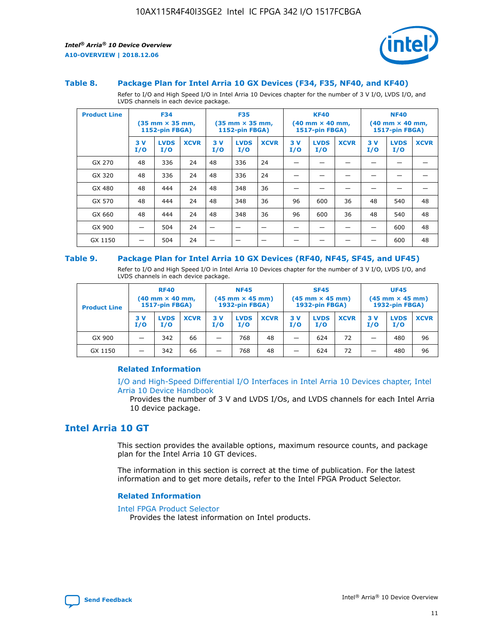

#### **Table 8. Package Plan for Intel Arria 10 GX Devices (F34, F35, NF40, and KF40)**

Refer to I/O and High Speed I/O in Intel Arria 10 Devices chapter for the number of 3 V I/O, LVDS I/O, and LVDS channels in each device package.

| <b>Product Line</b> | <b>F34</b><br>$(35 \text{ mm} \times 35 \text{ mm})$<br>1152-pin FBGA) |                    | <b>F35</b><br>$(35 \text{ mm} \times 35 \text{ mm})$<br><b>1152-pin FBGA)</b> |           | <b>KF40</b><br>$(40$ mm $\times$ 40 mm,<br>1517-pin FBGA) |             |           | <b>NF40</b><br>$(40$ mm $\times$ 40 mm,<br><b>1517-pin FBGA)</b> |             |            |                    |             |
|---------------------|------------------------------------------------------------------------|--------------------|-------------------------------------------------------------------------------|-----------|-----------------------------------------------------------|-------------|-----------|------------------------------------------------------------------|-------------|------------|--------------------|-------------|
|                     | 3V<br>I/O                                                              | <b>LVDS</b><br>I/O | <b>XCVR</b>                                                                   | 3V<br>I/O | <b>LVDS</b><br>I/O                                        | <b>XCVR</b> | 3V<br>I/O | <b>LVDS</b><br>I/O                                               | <b>XCVR</b> | 3 V<br>I/O | <b>LVDS</b><br>I/O | <b>XCVR</b> |
| GX 270              | 48                                                                     | 336                | 24                                                                            | 48        | 336                                                       | 24          |           |                                                                  |             |            |                    |             |
| GX 320              | 48                                                                     | 336                | 24                                                                            | 48        | 336                                                       | 24          |           |                                                                  |             |            |                    |             |
| GX 480              | 48                                                                     | 444                | 24                                                                            | 48        | 348                                                       | 36          |           |                                                                  |             |            |                    |             |
| GX 570              | 48                                                                     | 444                | 24                                                                            | 48        | 348                                                       | 36          | 96        | 600                                                              | 36          | 48         | 540                | 48          |
| GX 660              | 48                                                                     | 444                | 24                                                                            | 48        | 348                                                       | 36          | 96        | 600                                                              | 36          | 48         | 540                | 48          |
| GX 900              |                                                                        | 504                | 24                                                                            | -         |                                                           |             |           |                                                                  |             |            | 600                | 48          |
| GX 1150             |                                                                        | 504                | 24                                                                            |           |                                                           |             |           |                                                                  |             |            | 600                | 48          |

#### **Table 9. Package Plan for Intel Arria 10 GX Devices (RF40, NF45, SF45, and UF45)**

Refer to I/O and High Speed I/O in Intel Arria 10 Devices chapter for the number of 3 V I/O, LVDS I/O, and LVDS channels in each device package.

| <b>Product Line</b> | <b>RF40</b><br>$(40$ mm $\times$ 40 mm,<br>1517-pin FBGA) |                    | <b>NF45</b><br>$(45 \text{ mm} \times 45 \text{ mm})$<br><b>1932-pin FBGA)</b> |            |                    | <b>SF45</b><br>$(45 \text{ mm} \times 45 \text{ mm})$<br><b>1932-pin FBGA)</b> |            |                    | <b>UF45</b><br>$(45 \text{ mm} \times 45 \text{ mm})$<br><b>1932-pin FBGA)</b> |           |                    |             |
|---------------------|-----------------------------------------------------------|--------------------|--------------------------------------------------------------------------------|------------|--------------------|--------------------------------------------------------------------------------|------------|--------------------|--------------------------------------------------------------------------------|-----------|--------------------|-------------|
|                     | 3V<br>I/O                                                 | <b>LVDS</b><br>I/O | <b>XCVR</b>                                                                    | 3 V<br>I/O | <b>LVDS</b><br>I/O | <b>XCVR</b>                                                                    | 3 V<br>I/O | <b>LVDS</b><br>I/O | <b>XCVR</b>                                                                    | 3V<br>I/O | <b>LVDS</b><br>I/O | <b>XCVR</b> |
| GX 900              |                                                           | 342                | 66                                                                             | _          | 768                | 48                                                                             |            | 624                | 72                                                                             |           | 480                | 96          |
| GX 1150             |                                                           | 342                | 66                                                                             | _          | 768                | 48                                                                             |            | 624                | 72                                                                             |           | 480                | 96          |

## **Related Information**

[I/O and High-Speed Differential I/O Interfaces in Intel Arria 10 Devices chapter, Intel](https://www.intel.com/content/www/us/en/programmable/documentation/sam1403482614086.html#sam1403482030321) [Arria 10 Device Handbook](https://www.intel.com/content/www/us/en/programmable/documentation/sam1403482614086.html#sam1403482030321)

Provides the number of 3 V and LVDS I/Os, and LVDS channels for each Intel Arria 10 device package.

## **Intel Arria 10 GT**

This section provides the available options, maximum resource counts, and package plan for the Intel Arria 10 GT devices.

The information in this section is correct at the time of publication. For the latest information and to get more details, refer to the Intel FPGA Product Selector.

#### **Related Information**

#### [Intel FPGA Product Selector](http://www.altera.com/products/selector/psg-selector.html)

Provides the latest information on Intel products.

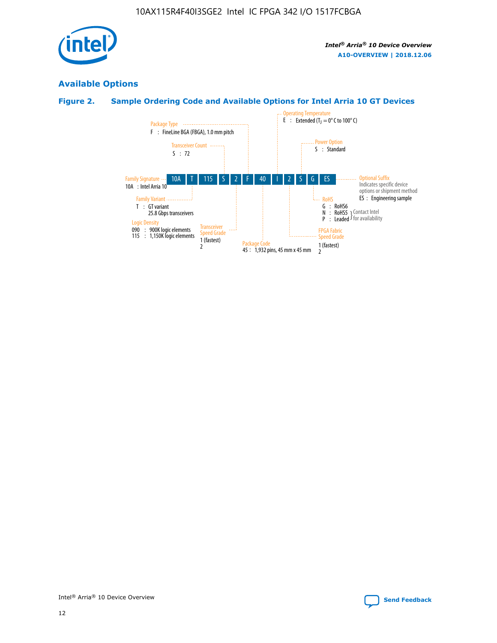

## **Available Options**

## **Figure 2. Sample Ordering Code and Available Options for Intel Arria 10 GT Devices**

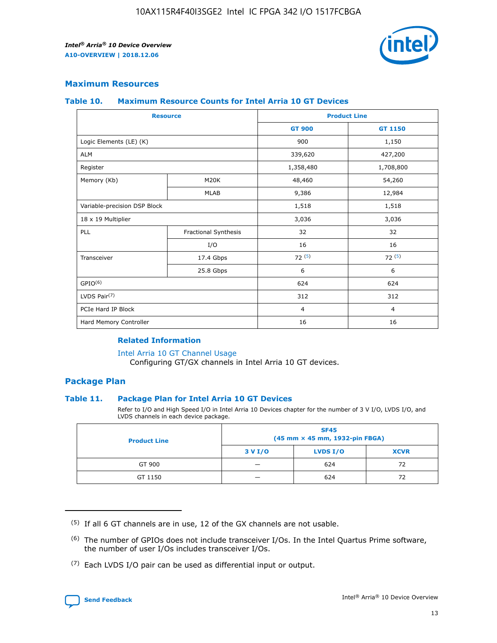

## **Maximum Resources**

#### **Table 10. Maximum Resource Counts for Intel Arria 10 GT Devices**

| <b>Resource</b>              |                      |                | <b>Product Line</b> |  |
|------------------------------|----------------------|----------------|---------------------|--|
|                              |                      | <b>GT 900</b>  | GT 1150             |  |
| Logic Elements (LE) (K)      |                      | 900            | 1,150               |  |
| <b>ALM</b>                   |                      | 339,620        | 427,200             |  |
| Register                     |                      | 1,358,480      | 1,708,800           |  |
| Memory (Kb)                  | M <sub>20</sub> K    | 48,460         | 54,260              |  |
|                              | <b>MLAB</b>          | 9,386          | 12,984              |  |
| Variable-precision DSP Block |                      | 1,518          | 1,518               |  |
| 18 x 19 Multiplier           |                      | 3,036          | 3,036               |  |
| PLL                          | Fractional Synthesis | 32             | 32                  |  |
|                              | I/O                  | 16             | 16                  |  |
| Transceiver                  | 17.4 Gbps            | 72(5)          | 72(5)               |  |
|                              | 25.8 Gbps            | 6              | 6                   |  |
| GPIO <sup>(6)</sup>          |                      | 624            | 624                 |  |
| LVDS Pair $(7)$              |                      | 312            | 312                 |  |
| PCIe Hard IP Block           |                      | $\overline{4}$ | $\overline{4}$      |  |
| Hard Memory Controller       |                      | 16             | 16                  |  |

## **Related Information**

#### [Intel Arria 10 GT Channel Usage](https://www.intel.com/content/www/us/en/programmable/documentation/nik1398707230472.html#nik1398707008178)

Configuring GT/GX channels in Intel Arria 10 GT devices.

## **Package Plan**

### **Table 11. Package Plan for Intel Arria 10 GT Devices**

Refer to I/O and High Speed I/O in Intel Arria 10 Devices chapter for the number of 3 V I/O, LVDS I/O, and LVDS channels in each device package.

| <b>Product Line</b> | <b>SF45</b><br>(45 mm × 45 mm, 1932-pin FBGA) |                 |             |  |  |  |
|---------------------|-----------------------------------------------|-----------------|-------------|--|--|--|
|                     | 3 V I/O                                       | <b>LVDS I/O</b> | <b>XCVR</b> |  |  |  |
| GT 900              |                                               | 624             | 72          |  |  |  |
| GT 1150             |                                               | 624             |             |  |  |  |

<sup>(7)</sup> Each LVDS I/O pair can be used as differential input or output.



 $(5)$  If all 6 GT channels are in use, 12 of the GX channels are not usable.

<sup>(6)</sup> The number of GPIOs does not include transceiver I/Os. In the Intel Quartus Prime software, the number of user I/Os includes transceiver I/Os.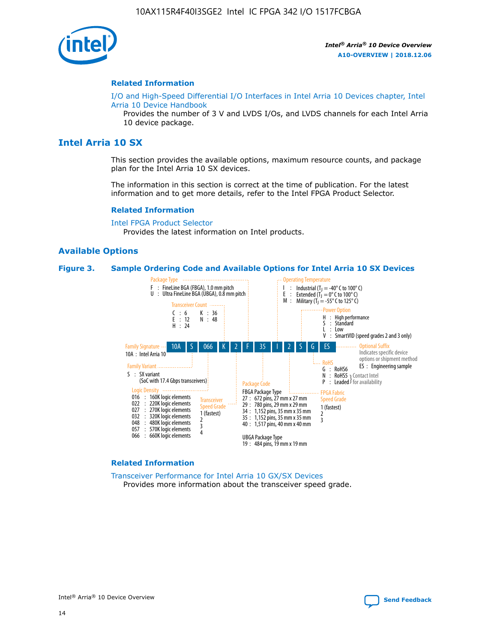

#### **Related Information**

[I/O and High-Speed Differential I/O Interfaces in Intel Arria 10 Devices chapter, Intel](https://www.intel.com/content/www/us/en/programmable/documentation/sam1403482614086.html#sam1403482030321) [Arria 10 Device Handbook](https://www.intel.com/content/www/us/en/programmable/documentation/sam1403482614086.html#sam1403482030321)

Provides the number of 3 V and LVDS I/Os, and LVDS channels for each Intel Arria 10 device package.

## **Intel Arria 10 SX**

This section provides the available options, maximum resource counts, and package plan for the Intel Arria 10 SX devices.

The information in this section is correct at the time of publication. For the latest information and to get more details, refer to the Intel FPGA Product Selector.

#### **Related Information**

[Intel FPGA Product Selector](http://www.altera.com/products/selector/psg-selector.html) Provides the latest information on Intel products.

#### **Available Options**

#### **Figure 3. Sample Ordering Code and Available Options for Intel Arria 10 SX Devices**



#### **Related Information**

[Transceiver Performance for Intel Arria 10 GX/SX Devices](https://www.intel.com/content/www/us/en/programmable/documentation/mcn1413182292568.html#mcn1413213965502) Provides more information about the transceiver speed grade.

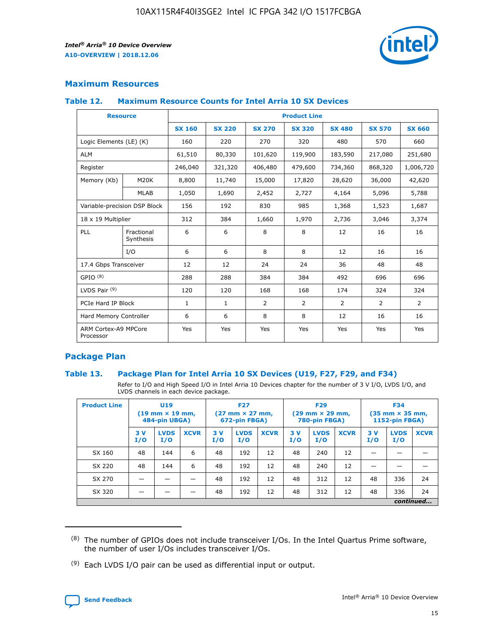

## **Maximum Resources**

### **Table 12. Maximum Resource Counts for Intel Arria 10 SX Devices**

|                                   | <b>Resource</b>         | <b>Product Line</b> |               |                |                |                |                |                |  |  |  |
|-----------------------------------|-------------------------|---------------------|---------------|----------------|----------------|----------------|----------------|----------------|--|--|--|
|                                   |                         | <b>SX 160</b>       | <b>SX 220</b> | <b>SX 270</b>  | <b>SX 320</b>  | <b>SX 480</b>  | <b>SX 570</b>  | <b>SX 660</b>  |  |  |  |
| Logic Elements (LE) (K)           |                         | 160                 | 220           | 270            | 320            | 480            | 570            | 660            |  |  |  |
| <b>ALM</b>                        |                         | 61,510              | 80,330        | 101,620        | 119,900        | 183,590        | 217,080        | 251,680        |  |  |  |
| Register                          |                         | 246,040             | 321,320       | 406,480        | 479,600        | 734,360        | 868,320        | 1,006,720      |  |  |  |
| Memory (Kb)                       | <b>M20K</b>             | 8,800               | 11,740        | 15,000         | 17,820         | 28,620         | 36,000         | 42,620         |  |  |  |
|                                   | <b>MLAB</b>             | 1,050               | 1,690         | 2,452          | 2,727          | 4,164          | 5,096          | 5,788          |  |  |  |
| Variable-precision DSP Block      |                         | 156                 | 192           | 830            | 985            | 1,368          | 1,523          | 1,687          |  |  |  |
| 18 x 19 Multiplier                |                         | 312                 | 384           | 1,660          | 1,970          | 2,736          | 3,046          | 3,374          |  |  |  |
| <b>PLL</b>                        | Fractional<br>Synthesis | 6                   | 6             | 8              | 8              | 12             | 16             | 16             |  |  |  |
|                                   | I/O                     | 6                   | 6             | 8              | 8              | 12             | 16             | 16             |  |  |  |
| 17.4 Gbps Transceiver             |                         | 12                  | 12            | 24             | 24             | 36             | 48             | 48             |  |  |  |
| GPIO <sup>(8)</sup>               |                         | 288                 | 288           | 384            | 384            | 492            | 696            | 696            |  |  |  |
| LVDS Pair $(9)$                   |                         | 120                 | 120           | 168            | 168            | 174            | 324            | 324            |  |  |  |
| PCIe Hard IP Block                |                         | $\mathbf{1}$        | $\mathbf{1}$  | $\overline{2}$ | $\overline{2}$ | $\overline{2}$ | $\overline{2}$ | $\overline{2}$ |  |  |  |
| Hard Memory Controller            |                         | 6                   | 6             | 8              | 8              | 12             | 16             | 16             |  |  |  |
| ARM Cortex-A9 MPCore<br>Processor |                         | Yes                 | Yes           | Yes            | Yes            | Yes            | Yes            | Yes            |  |  |  |

## **Package Plan**

### **Table 13. Package Plan for Intel Arria 10 SX Devices (U19, F27, F29, and F34)**

Refer to I/O and High Speed I/O in Intel Arria 10 Devices chapter for the number of 3 V I/O, LVDS I/O, and LVDS channels in each device package.

| <b>Product Line</b> | <b>U19</b><br>$(19 \text{ mm} \times 19 \text{ mm})$<br>484-pin UBGA) |                    | <b>F27</b><br>$(27 \text{ mm} \times 27 \text{ mm})$<br>672-pin FBGA) |           | <b>F29</b><br>$(29$ mm $\times$ 29 mm,<br>780-pin FBGA) |             |            | <b>F34</b><br>$(35 \text{ mm} \times 35 \text{ mm})$<br>1152-pin FBGA) |             |           |                    |             |
|---------------------|-----------------------------------------------------------------------|--------------------|-----------------------------------------------------------------------|-----------|---------------------------------------------------------|-------------|------------|------------------------------------------------------------------------|-------------|-----------|--------------------|-------------|
|                     | 3V<br>I/O                                                             | <b>LVDS</b><br>I/O | <b>XCVR</b>                                                           | 3V<br>I/O | <b>LVDS</b><br>I/O                                      | <b>XCVR</b> | 3 V<br>I/O | <b>LVDS</b><br>I/O                                                     | <b>XCVR</b> | 3V<br>I/O | <b>LVDS</b><br>I/O | <b>XCVR</b> |
| SX 160              | 48                                                                    | 144                | 6                                                                     | 48        | 192                                                     | 12          | 48         | 240                                                                    | 12          | –         |                    |             |
| SX 220              | 48                                                                    | 144                | 6                                                                     | 48        | 192                                                     | 12          | 48         | 240                                                                    | 12          |           |                    |             |
| SX 270              |                                                                       |                    |                                                                       | 48        | 192                                                     | 12          | 48         | 312                                                                    | 12          | 48        | 336                | 24          |
| SX 320              |                                                                       |                    |                                                                       | 48        | 192                                                     | 12          | 48         | 312                                                                    | 12          | 48        | 336                | 24          |
|                     | continued                                                             |                    |                                                                       |           |                                                         |             |            |                                                                        |             |           |                    |             |

 $(8)$  The number of GPIOs does not include transceiver I/Os. In the Intel Quartus Prime software, the number of user I/Os includes transceiver I/Os.

 $(9)$  Each LVDS I/O pair can be used as differential input or output.

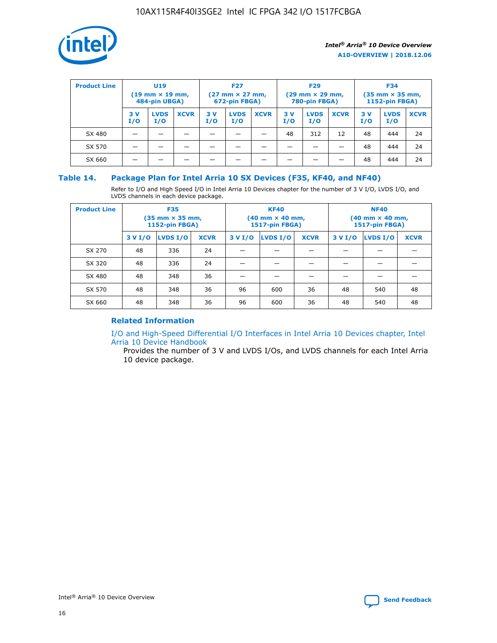

| <b>Product Line</b> |            | U <sub>19</sub><br>$(19 \text{ mm} \times 19 \text{ mm})$<br>484-pin UBGA) |             | <b>F27</b><br>$(27 \text{ mm} \times 27 \text{ mm})$<br>672-pin FBGA) |                    | <b>F29</b><br>$(29 \text{ mm} \times 29 \text{ mm})$<br>780-pin FBGA) |           |                    | <b>F34</b><br>$(35 \text{ mm} \times 35 \text{ mm})$<br><b>1152-pin FBGA)</b> |           |                    |             |
|---------------------|------------|----------------------------------------------------------------------------|-------------|-----------------------------------------------------------------------|--------------------|-----------------------------------------------------------------------|-----------|--------------------|-------------------------------------------------------------------------------|-----------|--------------------|-------------|
|                     | 3 V<br>I/O | <b>LVDS</b><br>I/O                                                         | <b>XCVR</b> | 3V<br>I/O                                                             | <b>LVDS</b><br>I/O | <b>XCVR</b>                                                           | 3V<br>I/O | <b>LVDS</b><br>I/O | <b>XCVR</b>                                                                   | 3V<br>I/O | <b>LVDS</b><br>I/O | <b>XCVR</b> |
| SX 480              |            |                                                                            |             |                                                                       |                    |                                                                       | 48        | 312                | 12                                                                            | 48        | 444                | 24          |
| SX 570              |            |                                                                            |             |                                                                       |                    |                                                                       |           |                    |                                                                               | 48        | 444                | 24          |
| SX 660              |            |                                                                            |             |                                                                       |                    |                                                                       |           |                    |                                                                               | 48        | 444                | 24          |

## **Table 14. Package Plan for Intel Arria 10 SX Devices (F35, KF40, and NF40)**

Refer to I/O and High Speed I/O in Intel Arria 10 Devices chapter for the number of 3 V I/O, LVDS I/O, and LVDS channels in each device package.

| <b>Product Line</b> | <b>F35</b><br>(35 mm × 35 mm,<br><b>1152-pin FBGA)</b> |          |             |                                           | <b>KF40</b><br>(40 mm × 40 mm,<br>1517-pin FBGA) |    | <b>NF40</b><br>$(40 \text{ mm} \times 40 \text{ mm})$<br><b>1517-pin FBGA)</b> |          |             |  |
|---------------------|--------------------------------------------------------|----------|-------------|-------------------------------------------|--------------------------------------------------|----|--------------------------------------------------------------------------------|----------|-------------|--|
|                     | 3 V I/O                                                | LVDS I/O | <b>XCVR</b> | <b>LVDS I/O</b><br><b>XCVR</b><br>3 V I/O |                                                  |    | 3 V I/O                                                                        | LVDS I/O | <b>XCVR</b> |  |
| SX 270              | 48                                                     | 336      | 24          |                                           |                                                  |    |                                                                                |          |             |  |
| SX 320              | 48                                                     | 336      | 24          |                                           |                                                  |    |                                                                                |          |             |  |
| SX 480              | 48                                                     | 348      | 36          |                                           |                                                  |    |                                                                                |          |             |  |
| SX 570              | 48                                                     | 348      | 36          | 96                                        | 600                                              | 36 | 48                                                                             | 540      | 48          |  |
| SX 660              | 48                                                     | 348      | 36          | 96                                        | 600                                              | 36 | 48                                                                             | 540      | 48          |  |

## **Related Information**

[I/O and High-Speed Differential I/O Interfaces in Intel Arria 10 Devices chapter, Intel](https://www.intel.com/content/www/us/en/programmable/documentation/sam1403482614086.html#sam1403482030321) [Arria 10 Device Handbook](https://www.intel.com/content/www/us/en/programmable/documentation/sam1403482614086.html#sam1403482030321)

Provides the number of 3 V and LVDS I/Os, and LVDS channels for each Intel Arria 10 device package.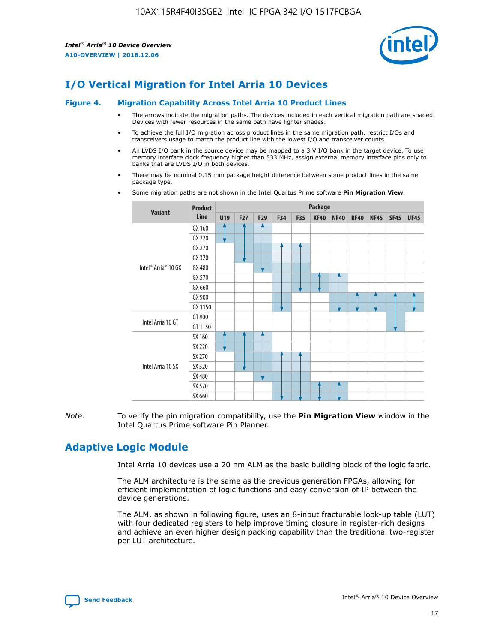

# **I/O Vertical Migration for Intel Arria 10 Devices**

#### **Figure 4. Migration Capability Across Intel Arria 10 Product Lines**

- The arrows indicate the migration paths. The devices included in each vertical migration path are shaded. Devices with fewer resources in the same path have lighter shades.
- To achieve the full I/O migration across product lines in the same migration path, restrict I/Os and transceivers usage to match the product line with the lowest I/O and transceiver counts.
- An LVDS I/O bank in the source device may be mapped to a 3 V I/O bank in the target device. To use memory interface clock frequency higher than 533 MHz, assign external memory interface pins only to banks that are LVDS I/O in both devices.
- There may be nominal 0.15 mm package height difference between some product lines in the same package type.
	- **Variant Product Line Package U19 F27 F29 F34 F35 KF40 NF40 RF40 NF45 SF45 UF45** Intel® Arria® 10 GX GX 160 GX 220 GX 270 GX 320 GX 480 GX 570 GX 660 GX 900 GX 1150 Intel Arria 10 GT GT 900 GT 1150 Intel Arria 10 SX SX 160 SX 220 SX 270 SX 320 SX 480 SX 570 SX 660
- Some migration paths are not shown in the Intel Quartus Prime software **Pin Migration View**.

*Note:* To verify the pin migration compatibility, use the **Pin Migration View** window in the Intel Quartus Prime software Pin Planner.

# **Adaptive Logic Module**

Intel Arria 10 devices use a 20 nm ALM as the basic building block of the logic fabric.

The ALM architecture is the same as the previous generation FPGAs, allowing for efficient implementation of logic functions and easy conversion of IP between the device generations.

The ALM, as shown in following figure, uses an 8-input fracturable look-up table (LUT) with four dedicated registers to help improve timing closure in register-rich designs and achieve an even higher design packing capability than the traditional two-register per LUT architecture.

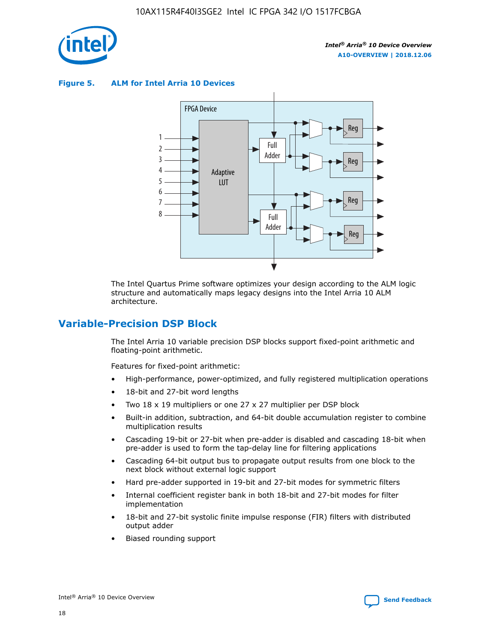

**Figure 5. ALM for Intel Arria 10 Devices**



The Intel Quartus Prime software optimizes your design according to the ALM logic structure and automatically maps legacy designs into the Intel Arria 10 ALM architecture.

# **Variable-Precision DSP Block**

The Intel Arria 10 variable precision DSP blocks support fixed-point arithmetic and floating-point arithmetic.

Features for fixed-point arithmetic:

- High-performance, power-optimized, and fully registered multiplication operations
- 18-bit and 27-bit word lengths
- Two 18 x 19 multipliers or one 27 x 27 multiplier per DSP block
- Built-in addition, subtraction, and 64-bit double accumulation register to combine multiplication results
- Cascading 19-bit or 27-bit when pre-adder is disabled and cascading 18-bit when pre-adder is used to form the tap-delay line for filtering applications
- Cascading 64-bit output bus to propagate output results from one block to the next block without external logic support
- Hard pre-adder supported in 19-bit and 27-bit modes for symmetric filters
- Internal coefficient register bank in both 18-bit and 27-bit modes for filter implementation
- 18-bit and 27-bit systolic finite impulse response (FIR) filters with distributed output adder
- Biased rounding support

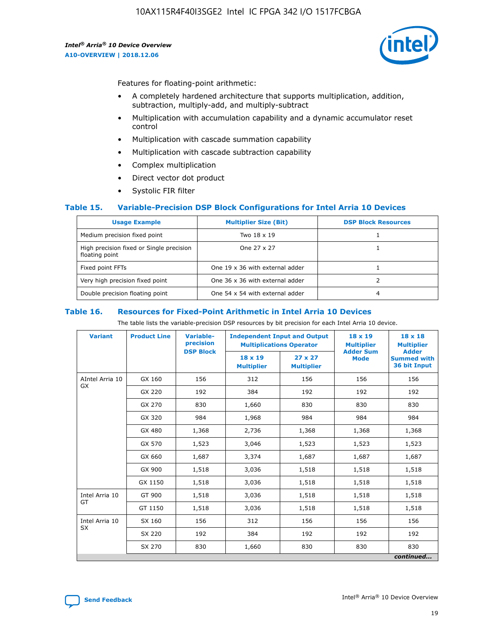

Features for floating-point arithmetic:

- A completely hardened architecture that supports multiplication, addition, subtraction, multiply-add, and multiply-subtract
- Multiplication with accumulation capability and a dynamic accumulator reset control
- Multiplication with cascade summation capability
- Multiplication with cascade subtraction capability
- Complex multiplication
- Direct vector dot product
- Systolic FIR filter

### **Table 15. Variable-Precision DSP Block Configurations for Intel Arria 10 Devices**

| <b>Usage Example</b>                                       | <b>Multiplier Size (Bit)</b>    | <b>DSP Block Resources</b> |
|------------------------------------------------------------|---------------------------------|----------------------------|
| Medium precision fixed point                               | Two 18 x 19                     |                            |
| High precision fixed or Single precision<br>floating point | One 27 x 27                     |                            |
| Fixed point FFTs                                           | One 19 x 36 with external adder |                            |
| Very high precision fixed point                            | One 36 x 36 with external adder |                            |
| Double precision floating point                            | One 54 x 54 with external adder | 4                          |

#### **Table 16. Resources for Fixed-Point Arithmetic in Intel Arria 10 Devices**

The table lists the variable-precision DSP resources by bit precision for each Intel Arria 10 device.

| <b>Variant</b>  | <b>Product Line</b> | <b>Variable-</b><br>precision<br><b>DSP Block</b> | <b>Independent Input and Output</b><br><b>Multiplications Operator</b> |                                     | 18 x 19<br><b>Multiplier</b><br><b>Adder Sum</b> | $18 \times 18$<br><b>Multiplier</b><br><b>Adder</b> |
|-----------------|---------------------|---------------------------------------------------|------------------------------------------------------------------------|-------------------------------------|--------------------------------------------------|-----------------------------------------------------|
|                 |                     |                                                   | 18 x 19<br><b>Multiplier</b>                                           | $27 \times 27$<br><b>Multiplier</b> | <b>Mode</b>                                      | <b>Summed with</b><br>36 bit Input                  |
| AIntel Arria 10 | GX 160              | 156                                               | 312                                                                    | 156                                 | 156                                              | 156                                                 |
| GX              | GX 220              | 192                                               | 384                                                                    | 192                                 | 192                                              | 192                                                 |
|                 | GX 270              | 830                                               | 1,660                                                                  | 830                                 | 830                                              | 830                                                 |
|                 | GX 320              | 984                                               | 1,968                                                                  | 984                                 | 984                                              | 984                                                 |
|                 | GX 480              | 1,368                                             | 2,736                                                                  | 1,368                               | 1,368                                            | 1,368                                               |
|                 | GX 570              | 1,523                                             | 3,046                                                                  | 1,523                               | 1,523                                            | 1,523                                               |
|                 | GX 660              | 1,687                                             | 3,374                                                                  | 1,687                               | 1,687                                            | 1,687                                               |
|                 | GX 900              | 1,518                                             | 3,036                                                                  | 1,518                               | 1,518                                            | 1,518                                               |
|                 | GX 1150             | 1,518                                             | 3,036                                                                  | 1,518                               | 1,518                                            | 1,518                                               |
| Intel Arria 10  | GT 900              | 1,518                                             | 3,036                                                                  | 1,518                               | 1,518                                            | 1,518                                               |
| GT              | GT 1150             | 1,518                                             | 3,036                                                                  | 1,518                               | 1,518                                            | 1,518                                               |
| Intel Arria 10  | SX 160              | 156                                               | 312                                                                    | 156                                 | 156                                              | 156                                                 |
| <b>SX</b>       | SX 220<br>192       |                                                   | 384                                                                    | 192                                 | 192                                              | 192                                                 |
|                 | SX 270              | 830                                               | 1,660                                                                  | 830                                 | 830                                              | 830                                                 |
|                 |                     |                                                   |                                                                        |                                     |                                                  | continued                                           |

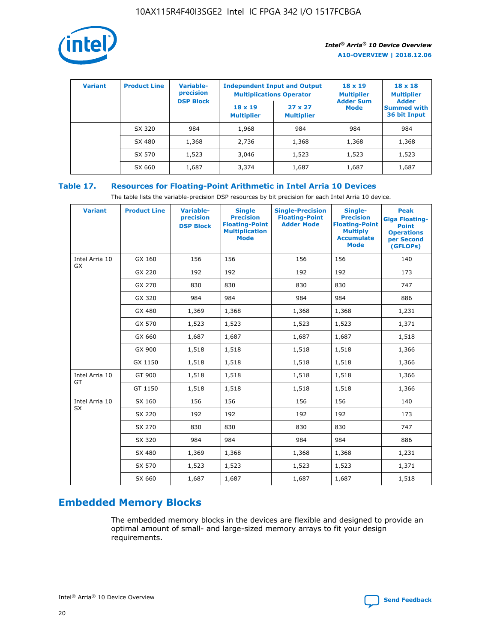

| <b>Variant</b> | <b>Product Line</b> | Variable-<br>precision | <b>Independent Input and Output</b><br><b>Multiplications Operator</b> |                                     | $18 \times 19$<br><b>Multiplier</b> | $18 \times 18$<br><b>Multiplier</b><br><b>Adder</b> |  |
|----------------|---------------------|------------------------|------------------------------------------------------------------------|-------------------------------------|-------------------------------------|-----------------------------------------------------|--|
|                |                     | <b>DSP Block</b>       | $18 \times 19$<br><b>Multiplier</b>                                    | $27 \times 27$<br><b>Multiplier</b> | <b>Adder Sum</b><br><b>Mode</b>     | <b>Summed with</b><br>36 bit Input                  |  |
|                | SX 320              | 984                    | 1,968                                                                  | 984                                 | 984                                 | 984                                                 |  |
|                | SX 480              | 1,368                  | 2,736                                                                  | 1,368                               | 1,368                               | 1,368                                               |  |
|                | SX 570              | 1,523                  | 3,046                                                                  | 1,523                               | 1,523                               | 1,523                                               |  |
|                | SX 660              | 1,687                  | 3,374                                                                  | 1,687                               | 1,687                               | 1,687                                               |  |

## **Table 17. Resources for Floating-Point Arithmetic in Intel Arria 10 Devices**

The table lists the variable-precision DSP resources by bit precision for each Intel Arria 10 device.

| <b>Variant</b> | <b>Product Line</b> | <b>Variable-</b><br>precision<br><b>DSP Block</b> | <b>Single</b><br><b>Precision</b><br><b>Floating-Point</b><br><b>Multiplication</b><br><b>Mode</b> | <b>Single-Precision</b><br><b>Floating-Point</b><br><b>Adder Mode</b> | Single-<br><b>Precision</b><br><b>Floating-Point</b><br><b>Multiply</b><br><b>Accumulate</b><br><b>Mode</b> | <b>Peak</b><br><b>Giga Floating-</b><br><b>Point</b><br><b>Operations</b><br>per Second<br>(GFLOPs) |
|----------------|---------------------|---------------------------------------------------|----------------------------------------------------------------------------------------------------|-----------------------------------------------------------------------|-------------------------------------------------------------------------------------------------------------|-----------------------------------------------------------------------------------------------------|
| Intel Arria 10 | GX 160              | 156                                               | 156                                                                                                | 156                                                                   | 156                                                                                                         | 140                                                                                                 |
| GX             | GX 220              | 192                                               | 192                                                                                                | 192                                                                   | 192                                                                                                         | 173                                                                                                 |
|                | GX 270              | 830                                               | 830                                                                                                | 830                                                                   | 830                                                                                                         | 747                                                                                                 |
|                | GX 320              | 984                                               | 984                                                                                                | 984                                                                   | 984                                                                                                         | 886                                                                                                 |
|                | GX 480              | 1,369                                             | 1,368                                                                                              | 1,368                                                                 | 1,368                                                                                                       | 1,231                                                                                               |
|                | GX 570              | 1,523                                             | 1,523                                                                                              | 1,523                                                                 | 1,523                                                                                                       | 1,371                                                                                               |
|                | GX 660              | 1,687                                             | 1,687                                                                                              | 1,687                                                                 | 1,687                                                                                                       | 1,518                                                                                               |
|                | GX 900              | 1,518                                             | 1,518                                                                                              | 1,518                                                                 | 1,518                                                                                                       | 1,366                                                                                               |
|                | GX 1150             | 1,518                                             | 1,518                                                                                              | 1,518                                                                 | 1,518                                                                                                       | 1,366                                                                                               |
| Intel Arria 10 | GT 900              | 1,518                                             | 1,518                                                                                              | 1,518                                                                 | 1,518                                                                                                       | 1,366                                                                                               |
| GT             | GT 1150             | 1,518                                             | 1,518                                                                                              | 1,518                                                                 | 1,518                                                                                                       | 1,366                                                                                               |
| Intel Arria 10 | SX 160              | 156                                               | 156                                                                                                | 156                                                                   | 156                                                                                                         | 140                                                                                                 |
| SX             | SX 220              | 192                                               | 192                                                                                                | 192                                                                   | 192                                                                                                         | 173                                                                                                 |
|                | SX 270              | 830                                               | 830                                                                                                | 830                                                                   | 830                                                                                                         | 747                                                                                                 |
|                | SX 320              | 984                                               | 984                                                                                                | 984                                                                   | 984                                                                                                         | 886                                                                                                 |
|                | SX 480              | 1,369                                             | 1,368                                                                                              | 1,368                                                                 | 1,368                                                                                                       | 1,231                                                                                               |
|                | SX 570              | 1,523                                             | 1,523                                                                                              | 1,523                                                                 | 1,523                                                                                                       | 1,371                                                                                               |
|                | SX 660              | 1,687                                             | 1,687                                                                                              | 1,687                                                                 | 1,687                                                                                                       | 1,518                                                                                               |

# **Embedded Memory Blocks**

The embedded memory blocks in the devices are flexible and designed to provide an optimal amount of small- and large-sized memory arrays to fit your design requirements.

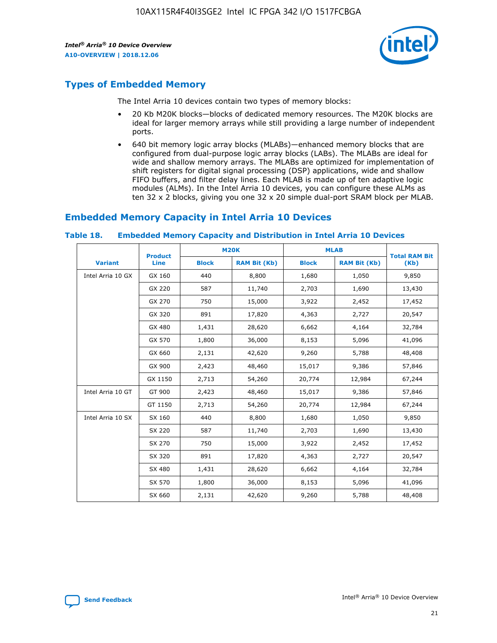

# **Types of Embedded Memory**

The Intel Arria 10 devices contain two types of memory blocks:

- 20 Kb M20K blocks—blocks of dedicated memory resources. The M20K blocks are ideal for larger memory arrays while still providing a large number of independent ports.
- 640 bit memory logic array blocks (MLABs)—enhanced memory blocks that are configured from dual-purpose logic array blocks (LABs). The MLABs are ideal for wide and shallow memory arrays. The MLABs are optimized for implementation of shift registers for digital signal processing (DSP) applications, wide and shallow FIFO buffers, and filter delay lines. Each MLAB is made up of ten adaptive logic modules (ALMs). In the Intel Arria 10 devices, you can configure these ALMs as ten 32 x 2 blocks, giving you one 32 x 20 simple dual-port SRAM block per MLAB.

# **Embedded Memory Capacity in Intel Arria 10 Devices**

|                   | <b>Product</b> | <b>M20K</b>  |                     | <b>MLAB</b>  |                     | <b>Total RAM Bit</b> |
|-------------------|----------------|--------------|---------------------|--------------|---------------------|----------------------|
| <b>Variant</b>    | <b>Line</b>    | <b>Block</b> | <b>RAM Bit (Kb)</b> | <b>Block</b> | <b>RAM Bit (Kb)</b> | (Kb)                 |
| Intel Arria 10 GX | GX 160         | 440          | 8,800               | 1,680        | 1,050               | 9,850                |
|                   | GX 220         | 587          | 11,740              | 2,703        | 1,690               | 13,430               |
|                   | GX 270         | 750          | 15,000              | 3,922        | 2,452               | 17,452               |
|                   | GX 320         | 891          | 17,820              | 4,363        | 2,727               | 20,547               |
|                   | GX 480         | 1,431        | 28,620              | 6,662        | 4,164               | 32,784               |
|                   | GX 570         | 1,800        | 36,000              | 8,153        | 5,096               | 41,096               |
|                   | GX 660         | 2,131        | 42,620              | 9,260        | 5,788               | 48,408               |
|                   | GX 900         | 2,423        | 48,460              | 15,017       | 9,386               | 57,846               |
|                   | GX 1150        | 2,713        | 54,260              | 20,774       | 12,984              | 67,244               |
| Intel Arria 10 GT | GT 900         | 2,423        | 48,460              | 15,017       | 9,386               | 57,846               |
|                   | GT 1150        | 2,713        | 54,260              | 20,774       | 12,984              | 67,244               |
| Intel Arria 10 SX | SX 160         | 440          | 8,800               | 1,680        | 1,050               | 9,850                |
|                   | SX 220         | 587          | 11,740              | 2,703        | 1,690               | 13,430               |
|                   | SX 270         | 750          | 15,000              | 3,922        | 2,452               | 17,452               |
|                   | SX 320         | 891          | 17,820              | 4,363        | 2,727               | 20,547               |
|                   | SX 480         | 1,431        | 28,620              | 6,662        | 4,164               | 32,784               |
|                   | SX 570         | 1,800        | 36,000              | 8,153        | 5,096               | 41,096               |
|                   | SX 660         | 2,131        | 42,620              | 9,260        | 5,788               | 48,408               |

#### **Table 18. Embedded Memory Capacity and Distribution in Intel Arria 10 Devices**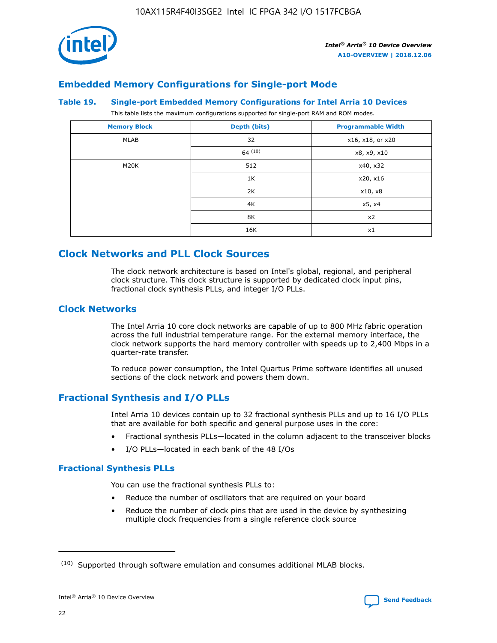

# **Embedded Memory Configurations for Single-port Mode**

#### **Table 19. Single-port Embedded Memory Configurations for Intel Arria 10 Devices**

This table lists the maximum configurations supported for single-port RAM and ROM modes.

| <b>Memory Block</b> | Depth (bits) | <b>Programmable Width</b> |
|---------------------|--------------|---------------------------|
| MLAB                | 32           | x16, x18, or x20          |
|                     | 64(10)       | x8, x9, x10               |
| M20K                | 512          | x40, x32                  |
|                     | 1K           | x20, x16                  |
|                     | 2K           | x10, x8                   |
|                     | 4K           | x5, x4                    |
|                     | 8K           | x2                        |
|                     | 16K          | x1                        |

## **Clock Networks and PLL Clock Sources**

The clock network architecture is based on Intel's global, regional, and peripheral clock structure. This clock structure is supported by dedicated clock input pins, fractional clock synthesis PLLs, and integer I/O PLLs.

## **Clock Networks**

The Intel Arria 10 core clock networks are capable of up to 800 MHz fabric operation across the full industrial temperature range. For the external memory interface, the clock network supports the hard memory controller with speeds up to 2,400 Mbps in a quarter-rate transfer.

To reduce power consumption, the Intel Quartus Prime software identifies all unused sections of the clock network and powers them down.

## **Fractional Synthesis and I/O PLLs**

Intel Arria 10 devices contain up to 32 fractional synthesis PLLs and up to 16 I/O PLLs that are available for both specific and general purpose uses in the core:

- Fractional synthesis PLLs—located in the column adjacent to the transceiver blocks
- I/O PLLs—located in each bank of the 48 I/Os

### **Fractional Synthesis PLLs**

You can use the fractional synthesis PLLs to:

- Reduce the number of oscillators that are required on your board
- Reduce the number of clock pins that are used in the device by synthesizing multiple clock frequencies from a single reference clock source

<sup>(10)</sup> Supported through software emulation and consumes additional MLAB blocks.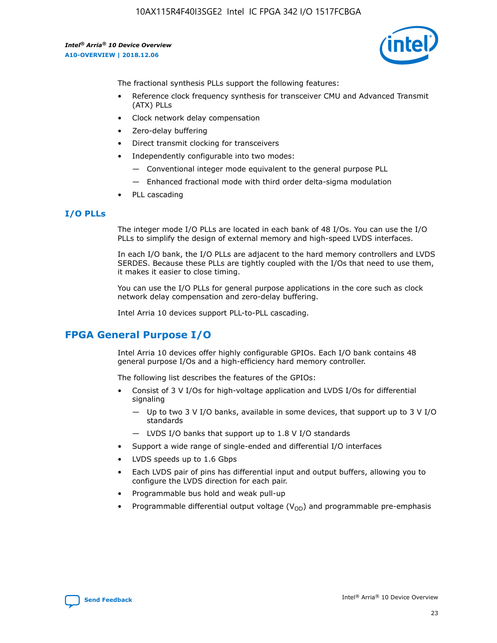

The fractional synthesis PLLs support the following features:

- Reference clock frequency synthesis for transceiver CMU and Advanced Transmit (ATX) PLLs
- Clock network delay compensation
- Zero-delay buffering
- Direct transmit clocking for transceivers
- Independently configurable into two modes:
	- Conventional integer mode equivalent to the general purpose PLL
	- Enhanced fractional mode with third order delta-sigma modulation
- PLL cascading

## **I/O PLLs**

The integer mode I/O PLLs are located in each bank of 48 I/Os. You can use the I/O PLLs to simplify the design of external memory and high-speed LVDS interfaces.

In each I/O bank, the I/O PLLs are adjacent to the hard memory controllers and LVDS SERDES. Because these PLLs are tightly coupled with the I/Os that need to use them, it makes it easier to close timing.

You can use the I/O PLLs for general purpose applications in the core such as clock network delay compensation and zero-delay buffering.

Intel Arria 10 devices support PLL-to-PLL cascading.

# **FPGA General Purpose I/O**

Intel Arria 10 devices offer highly configurable GPIOs. Each I/O bank contains 48 general purpose I/Os and a high-efficiency hard memory controller.

The following list describes the features of the GPIOs:

- Consist of 3 V I/Os for high-voltage application and LVDS I/Os for differential signaling
	- Up to two 3 V I/O banks, available in some devices, that support up to 3 V I/O standards
	- LVDS I/O banks that support up to 1.8 V I/O standards
- Support a wide range of single-ended and differential I/O interfaces
- LVDS speeds up to 1.6 Gbps
- Each LVDS pair of pins has differential input and output buffers, allowing you to configure the LVDS direction for each pair.
- Programmable bus hold and weak pull-up
- Programmable differential output voltage  $(V_{OD})$  and programmable pre-emphasis

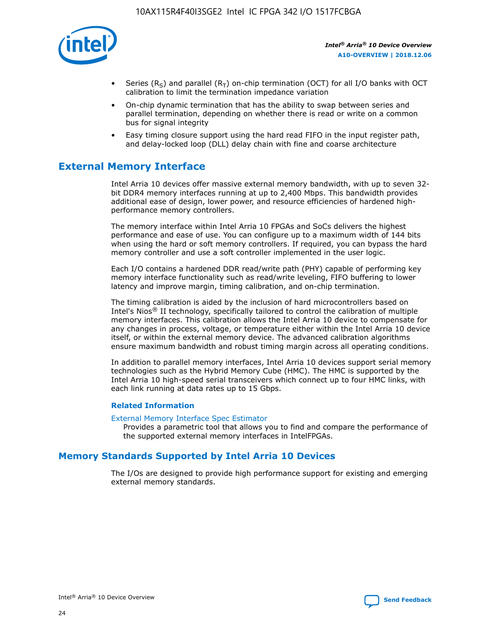

- Series (R<sub>S</sub>) and parallel (R<sub>T</sub>) on-chip termination (OCT) for all I/O banks with OCT calibration to limit the termination impedance variation
- On-chip dynamic termination that has the ability to swap between series and parallel termination, depending on whether there is read or write on a common bus for signal integrity
- Easy timing closure support using the hard read FIFO in the input register path, and delay-locked loop (DLL) delay chain with fine and coarse architecture

# **External Memory Interface**

Intel Arria 10 devices offer massive external memory bandwidth, with up to seven 32 bit DDR4 memory interfaces running at up to 2,400 Mbps. This bandwidth provides additional ease of design, lower power, and resource efficiencies of hardened highperformance memory controllers.

The memory interface within Intel Arria 10 FPGAs and SoCs delivers the highest performance and ease of use. You can configure up to a maximum width of 144 bits when using the hard or soft memory controllers. If required, you can bypass the hard memory controller and use a soft controller implemented in the user logic.

Each I/O contains a hardened DDR read/write path (PHY) capable of performing key memory interface functionality such as read/write leveling, FIFO buffering to lower latency and improve margin, timing calibration, and on-chip termination.

The timing calibration is aided by the inclusion of hard microcontrollers based on Intel's Nios® II technology, specifically tailored to control the calibration of multiple memory interfaces. This calibration allows the Intel Arria 10 device to compensate for any changes in process, voltage, or temperature either within the Intel Arria 10 device itself, or within the external memory device. The advanced calibration algorithms ensure maximum bandwidth and robust timing margin across all operating conditions.

In addition to parallel memory interfaces, Intel Arria 10 devices support serial memory technologies such as the Hybrid Memory Cube (HMC). The HMC is supported by the Intel Arria 10 high-speed serial transceivers which connect up to four HMC links, with each link running at data rates up to 15 Gbps.

### **Related Information**

#### [External Memory Interface Spec Estimator](http://www.altera.com/technology/memory/estimator/mem-emif-index.html)

Provides a parametric tool that allows you to find and compare the performance of the supported external memory interfaces in IntelFPGAs.

## **Memory Standards Supported by Intel Arria 10 Devices**

The I/Os are designed to provide high performance support for existing and emerging external memory standards.

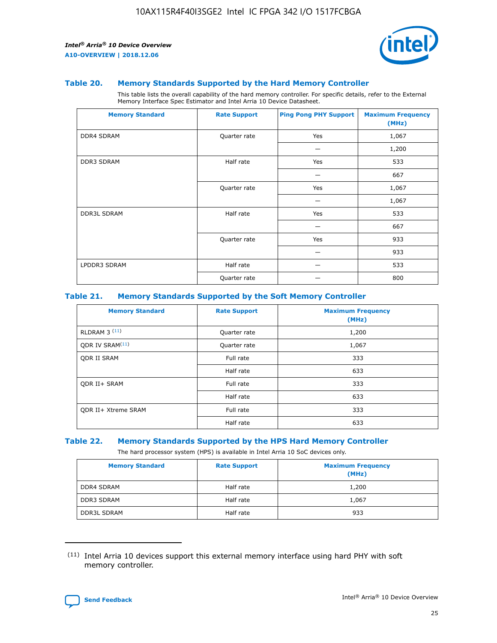

#### **Table 20. Memory Standards Supported by the Hard Memory Controller**

This table lists the overall capability of the hard memory controller. For specific details, refer to the External Memory Interface Spec Estimator and Intel Arria 10 Device Datasheet.

| <b>Memory Standard</b> | <b>Rate Support</b> | <b>Ping Pong PHY Support</b> | <b>Maximum Frequency</b><br>(MHz) |
|------------------------|---------------------|------------------------------|-----------------------------------|
| <b>DDR4 SDRAM</b>      | Quarter rate        | Yes                          | 1,067                             |
|                        |                     |                              | 1,200                             |
| DDR3 SDRAM             | Half rate           | Yes                          | 533                               |
|                        |                     |                              | 667                               |
|                        | Quarter rate        | Yes                          | 1,067                             |
|                        |                     |                              | 1,067                             |
| <b>DDR3L SDRAM</b>     | Half rate           | Yes                          | 533                               |
|                        |                     |                              | 667                               |
|                        | Quarter rate        | Yes                          | 933                               |
|                        |                     |                              | 933                               |
| LPDDR3 SDRAM           | Half rate           |                              | 533                               |
|                        | Quarter rate        |                              | 800                               |

### **Table 21. Memory Standards Supported by the Soft Memory Controller**

| <b>Memory Standard</b>      | <b>Rate Support</b> | <b>Maximum Frequency</b><br>(MHz) |
|-----------------------------|---------------------|-----------------------------------|
| <b>RLDRAM 3 (11)</b>        | Quarter rate        | 1,200                             |
| ODR IV SRAM <sup>(11)</sup> | Quarter rate        | 1,067                             |
| <b>ODR II SRAM</b>          | Full rate           | 333                               |
|                             | Half rate           | 633                               |
| <b>ODR II+ SRAM</b>         | Full rate           | 333                               |
|                             | Half rate           | 633                               |
| <b>ODR II+ Xtreme SRAM</b>  | Full rate           | 333                               |
|                             | Half rate           | 633                               |

#### **Table 22. Memory Standards Supported by the HPS Hard Memory Controller**

The hard processor system (HPS) is available in Intel Arria 10 SoC devices only.

| <b>Memory Standard</b> | <b>Rate Support</b> | <b>Maximum Frequency</b><br>(MHz) |
|------------------------|---------------------|-----------------------------------|
| <b>DDR4 SDRAM</b>      | Half rate           | 1,200                             |
| <b>DDR3 SDRAM</b>      | Half rate           | 1,067                             |
| <b>DDR3L SDRAM</b>     | Half rate           | 933                               |

<sup>(11)</sup> Intel Arria 10 devices support this external memory interface using hard PHY with soft memory controller.

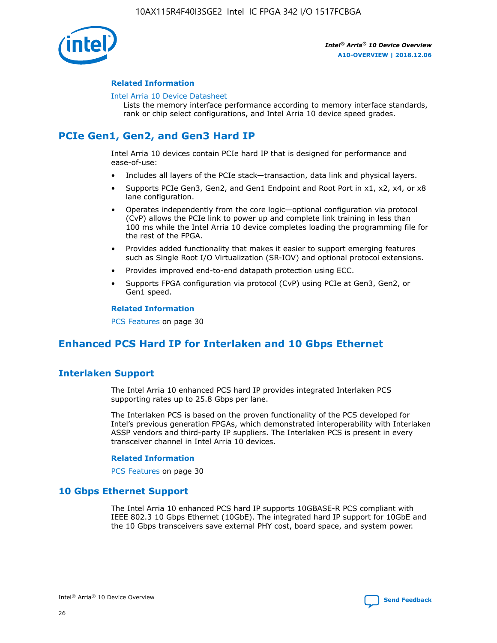

### **Related Information**

#### [Intel Arria 10 Device Datasheet](https://www.intel.com/content/www/us/en/programmable/documentation/mcn1413182292568.html#mcn1413182153340)

Lists the memory interface performance according to memory interface standards, rank or chip select configurations, and Intel Arria 10 device speed grades.

# **PCIe Gen1, Gen2, and Gen3 Hard IP**

Intel Arria 10 devices contain PCIe hard IP that is designed for performance and ease-of-use:

- Includes all layers of the PCIe stack—transaction, data link and physical layers.
- Supports PCIe Gen3, Gen2, and Gen1 Endpoint and Root Port in x1, x2, x4, or x8 lane configuration.
- Operates independently from the core logic—optional configuration via protocol (CvP) allows the PCIe link to power up and complete link training in less than 100 ms while the Intel Arria 10 device completes loading the programming file for the rest of the FPGA.
- Provides added functionality that makes it easier to support emerging features such as Single Root I/O Virtualization (SR-IOV) and optional protocol extensions.
- Provides improved end-to-end datapath protection using ECC.
- Supports FPGA configuration via protocol (CvP) using PCIe at Gen3, Gen2, or Gen1 speed.

#### **Related Information**

PCS Features on page 30

# **Enhanced PCS Hard IP for Interlaken and 10 Gbps Ethernet**

## **Interlaken Support**

The Intel Arria 10 enhanced PCS hard IP provides integrated Interlaken PCS supporting rates up to 25.8 Gbps per lane.

The Interlaken PCS is based on the proven functionality of the PCS developed for Intel's previous generation FPGAs, which demonstrated interoperability with Interlaken ASSP vendors and third-party IP suppliers. The Interlaken PCS is present in every transceiver channel in Intel Arria 10 devices.

### **Related Information**

PCS Features on page 30

## **10 Gbps Ethernet Support**

The Intel Arria 10 enhanced PCS hard IP supports 10GBASE-R PCS compliant with IEEE 802.3 10 Gbps Ethernet (10GbE). The integrated hard IP support for 10GbE and the 10 Gbps transceivers save external PHY cost, board space, and system power.

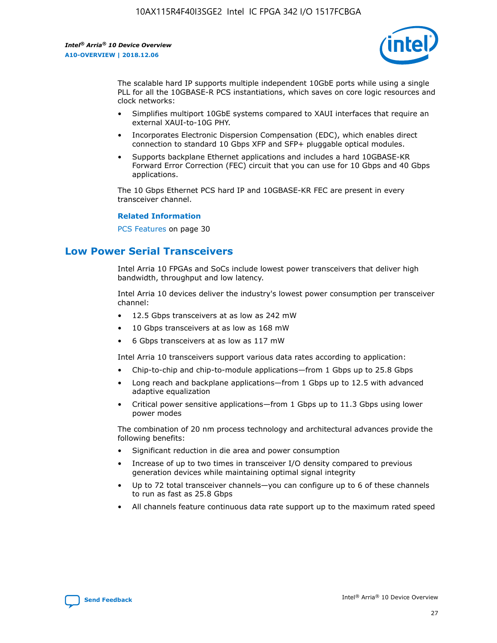

The scalable hard IP supports multiple independent 10GbE ports while using a single PLL for all the 10GBASE-R PCS instantiations, which saves on core logic resources and clock networks:

- Simplifies multiport 10GbE systems compared to XAUI interfaces that require an external XAUI-to-10G PHY.
- Incorporates Electronic Dispersion Compensation (EDC), which enables direct connection to standard 10 Gbps XFP and SFP+ pluggable optical modules.
- Supports backplane Ethernet applications and includes a hard 10GBASE-KR Forward Error Correction (FEC) circuit that you can use for 10 Gbps and 40 Gbps applications.

The 10 Gbps Ethernet PCS hard IP and 10GBASE-KR FEC are present in every transceiver channel.

### **Related Information**

PCS Features on page 30

# **Low Power Serial Transceivers**

Intel Arria 10 FPGAs and SoCs include lowest power transceivers that deliver high bandwidth, throughput and low latency.

Intel Arria 10 devices deliver the industry's lowest power consumption per transceiver channel:

- 12.5 Gbps transceivers at as low as 242 mW
- 10 Gbps transceivers at as low as 168 mW
- 6 Gbps transceivers at as low as 117 mW

Intel Arria 10 transceivers support various data rates according to application:

- Chip-to-chip and chip-to-module applications—from 1 Gbps up to 25.8 Gbps
- Long reach and backplane applications—from 1 Gbps up to 12.5 with advanced adaptive equalization
- Critical power sensitive applications—from 1 Gbps up to 11.3 Gbps using lower power modes

The combination of 20 nm process technology and architectural advances provide the following benefits:

- Significant reduction in die area and power consumption
- Increase of up to two times in transceiver I/O density compared to previous generation devices while maintaining optimal signal integrity
- Up to 72 total transceiver channels—you can configure up to 6 of these channels to run as fast as 25.8 Gbps
- All channels feature continuous data rate support up to the maximum rated speed

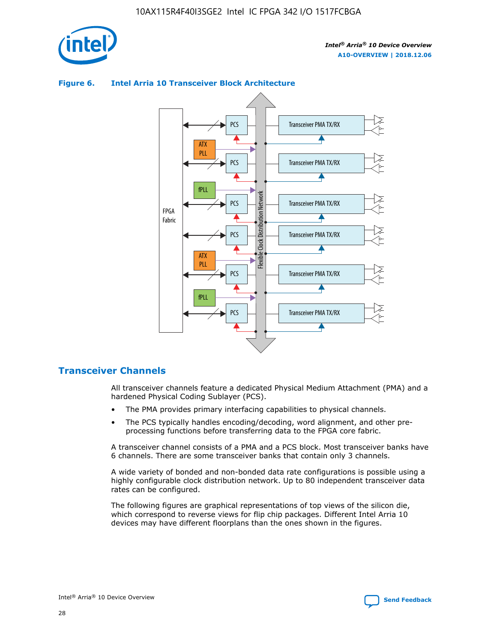

## Transceiver PMA TX/RX PCS ATX PLL Transceiver PMA TX/RX PCS fPLL Network Flexible Clock Distribution Network PCS Transceiver PMA TX/RX FPGA **Clock Distribution** Fabric PCS Transceiver PMA TX/RX ATX Flexible PLL PCS Transceiver PMA TX/RX ▲ fPLL Transceiver PMA TX/RX PCS 4

## **Figure 6. Intel Arria 10 Transceiver Block Architecture**

## **Transceiver Channels**

All transceiver channels feature a dedicated Physical Medium Attachment (PMA) and a hardened Physical Coding Sublayer (PCS).

- The PMA provides primary interfacing capabilities to physical channels.
- The PCS typically handles encoding/decoding, word alignment, and other preprocessing functions before transferring data to the FPGA core fabric.

A transceiver channel consists of a PMA and a PCS block. Most transceiver banks have 6 channels. There are some transceiver banks that contain only 3 channels.

A wide variety of bonded and non-bonded data rate configurations is possible using a highly configurable clock distribution network. Up to 80 independent transceiver data rates can be configured.

The following figures are graphical representations of top views of the silicon die, which correspond to reverse views for flip chip packages. Different Intel Arria 10 devices may have different floorplans than the ones shown in the figures.

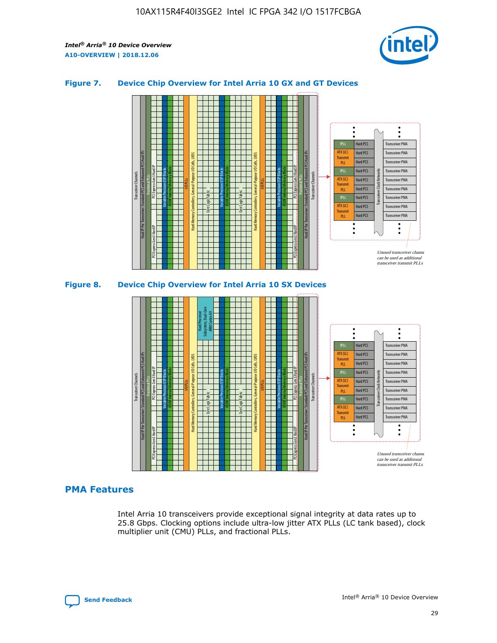

## **Figure 7. Device Chip Overview for Intel Arria 10 GX and GT Devices**





## **PMA Features**

Intel Arria 10 transceivers provide exceptional signal integrity at data rates up to 25.8 Gbps. Clocking options include ultra-low jitter ATX PLLs (LC tank based), clock multiplier unit (CMU) PLLs, and fractional PLLs.

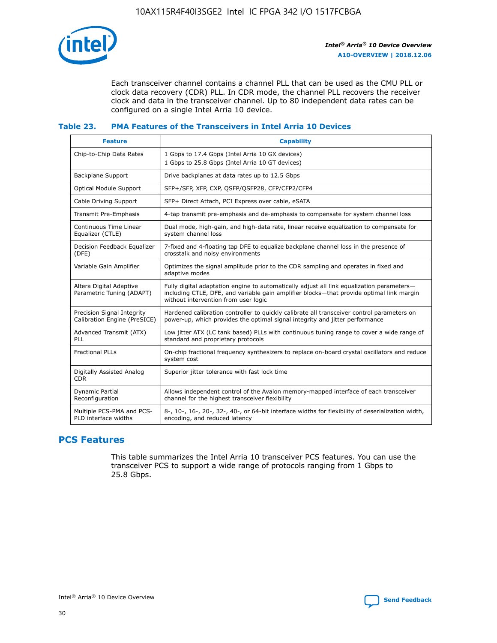

Each transceiver channel contains a channel PLL that can be used as the CMU PLL or clock data recovery (CDR) PLL. In CDR mode, the channel PLL recovers the receiver clock and data in the transceiver channel. Up to 80 independent data rates can be configured on a single Intel Arria 10 device.

## **Table 23. PMA Features of the Transceivers in Intel Arria 10 Devices**

| <b>Feature</b>                                             | <b>Capability</b>                                                                                                                                                                                                             |
|------------------------------------------------------------|-------------------------------------------------------------------------------------------------------------------------------------------------------------------------------------------------------------------------------|
| Chip-to-Chip Data Rates                                    | 1 Gbps to 17.4 Gbps (Intel Arria 10 GX devices)<br>1 Gbps to 25.8 Gbps (Intel Arria 10 GT devices)                                                                                                                            |
| <b>Backplane Support</b>                                   | Drive backplanes at data rates up to 12.5 Gbps                                                                                                                                                                                |
| Optical Module Support                                     | SFP+/SFP, XFP, CXP, QSFP/QSFP28, CFP/CFP2/CFP4                                                                                                                                                                                |
| Cable Driving Support                                      | SFP+ Direct Attach, PCI Express over cable, eSATA                                                                                                                                                                             |
| Transmit Pre-Emphasis                                      | 4-tap transmit pre-emphasis and de-emphasis to compensate for system channel loss                                                                                                                                             |
| Continuous Time Linear<br>Equalizer (CTLE)                 | Dual mode, high-gain, and high-data rate, linear receive equalization to compensate for<br>system channel loss                                                                                                                |
| Decision Feedback Equalizer<br>(DFE)                       | 7-fixed and 4-floating tap DFE to equalize backplane channel loss in the presence of<br>crosstalk and noisy environments                                                                                                      |
| Variable Gain Amplifier                                    | Optimizes the signal amplitude prior to the CDR sampling and operates in fixed and<br>adaptive modes                                                                                                                          |
| Altera Digital Adaptive<br>Parametric Tuning (ADAPT)       | Fully digital adaptation engine to automatically adjust all link equalization parameters-<br>including CTLE, DFE, and variable gain amplifier blocks-that provide optimal link margin<br>without intervention from user logic |
| Precision Signal Integrity<br>Calibration Engine (PreSICE) | Hardened calibration controller to quickly calibrate all transceiver control parameters on<br>power-up, which provides the optimal signal integrity and jitter performance                                                    |
| Advanced Transmit (ATX)<br>PLL                             | Low jitter ATX (LC tank based) PLLs with continuous tuning range to cover a wide range of<br>standard and proprietary protocols                                                                                               |
| <b>Fractional PLLs</b>                                     | On-chip fractional frequency synthesizers to replace on-board crystal oscillators and reduce<br>system cost                                                                                                                   |
| Digitally Assisted Analog<br><b>CDR</b>                    | Superior jitter tolerance with fast lock time                                                                                                                                                                                 |
| <b>Dynamic Partial</b><br>Reconfiguration                  | Allows independent control of the Avalon memory-mapped interface of each transceiver<br>channel for the highest transceiver flexibility                                                                                       |
| Multiple PCS-PMA and PCS-<br>PLD interface widths          | 8-, 10-, 16-, 20-, 32-, 40-, or 64-bit interface widths for flexibility of deserialization width,<br>encoding, and reduced latency                                                                                            |

## **PCS Features**

This table summarizes the Intel Arria 10 transceiver PCS features. You can use the transceiver PCS to support a wide range of protocols ranging from 1 Gbps to 25.8 Gbps.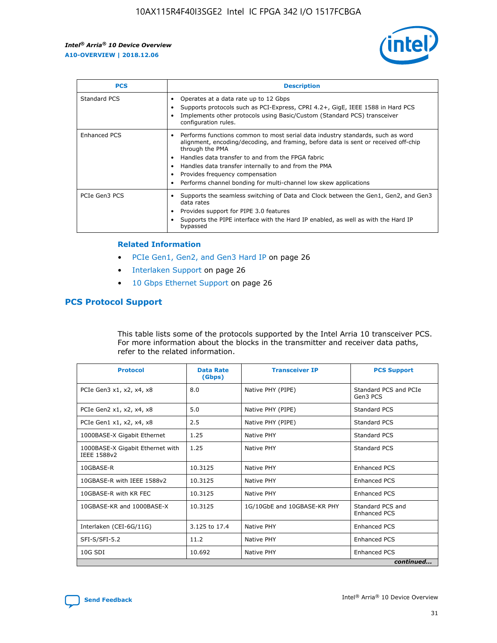

| <b>PCS</b>    | <b>Description</b>                                                                                                                                                                                                                                                                                                                                                                                             |
|---------------|----------------------------------------------------------------------------------------------------------------------------------------------------------------------------------------------------------------------------------------------------------------------------------------------------------------------------------------------------------------------------------------------------------------|
| Standard PCS  | Operates at a data rate up to 12 Gbps<br>Supports protocols such as PCI-Express, CPRI 4.2+, GigE, IEEE 1588 in Hard PCS<br>Implements other protocols using Basic/Custom (Standard PCS) transceiver<br>configuration rules.                                                                                                                                                                                    |
| Enhanced PCS  | Performs functions common to most serial data industry standards, such as word<br>alignment, encoding/decoding, and framing, before data is sent or received off-chip<br>through the PMA<br>• Handles data transfer to and from the FPGA fabric<br>Handles data transfer internally to and from the PMA<br>Provides frequency compensation<br>Performs channel bonding for multi-channel low skew applications |
| PCIe Gen3 PCS | Supports the seamless switching of Data and Clock between the Gen1, Gen2, and Gen3<br>data rates<br>Provides support for PIPE 3.0 features<br>Supports the PIPE interface with the Hard IP enabled, as well as with the Hard IP<br>bypassed                                                                                                                                                                    |

#### **Related Information**

- PCIe Gen1, Gen2, and Gen3 Hard IP on page 26
- Interlaken Support on page 26
- 10 Gbps Ethernet Support on page 26

## **PCS Protocol Support**

This table lists some of the protocols supported by the Intel Arria 10 transceiver PCS. For more information about the blocks in the transmitter and receiver data paths, refer to the related information.

| <b>Protocol</b>                                 | <b>Data Rate</b><br>(Gbps) | <b>Transceiver IP</b>       | <b>PCS Support</b>                      |
|-------------------------------------------------|----------------------------|-----------------------------|-----------------------------------------|
| PCIe Gen3 x1, x2, x4, x8                        | 8.0                        | Native PHY (PIPE)           | Standard PCS and PCIe<br>Gen3 PCS       |
| PCIe Gen2 x1, x2, x4, x8                        | 5.0                        | Native PHY (PIPE)           | <b>Standard PCS</b>                     |
| PCIe Gen1 x1, x2, x4, x8                        | 2.5                        | Native PHY (PIPE)           | Standard PCS                            |
| 1000BASE-X Gigabit Ethernet                     | 1.25                       | Native PHY                  | <b>Standard PCS</b>                     |
| 1000BASE-X Gigabit Ethernet with<br>IEEE 1588v2 | 1.25                       | Native PHY                  | Standard PCS                            |
| 10GBASE-R                                       | 10.3125                    | Native PHY                  | <b>Enhanced PCS</b>                     |
| 10GBASE-R with IEEE 1588v2                      | 10.3125                    | Native PHY                  | <b>Enhanced PCS</b>                     |
| 10GBASE-R with KR FEC                           | 10.3125                    | Native PHY                  | <b>Enhanced PCS</b>                     |
| 10GBASE-KR and 1000BASE-X                       | 10.3125                    | 1G/10GbE and 10GBASE-KR PHY | Standard PCS and<br><b>Enhanced PCS</b> |
| Interlaken (CEI-6G/11G)                         | 3.125 to 17.4              | Native PHY                  | <b>Enhanced PCS</b>                     |
| SFI-S/SFI-5.2                                   | 11.2                       | Native PHY                  | <b>Enhanced PCS</b>                     |
| $10G$ SDI                                       | 10.692                     | Native PHY                  | <b>Enhanced PCS</b>                     |
|                                                 |                            |                             | continued                               |

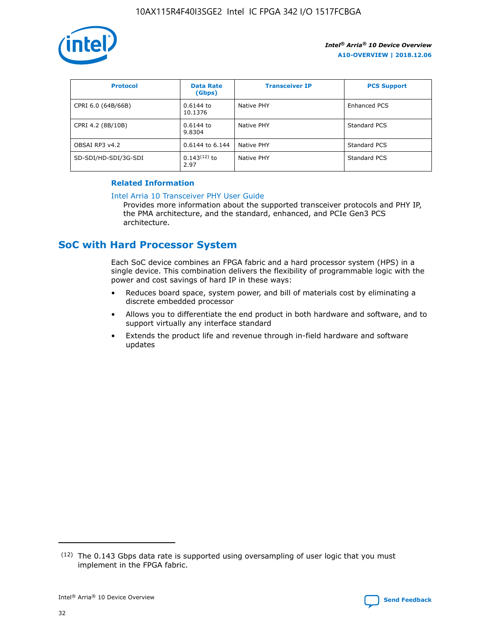

| <b>Protocol</b>      | <b>Data Rate</b><br>(Gbps) | <b>Transceiver IP</b> | <b>PCS Support</b> |
|----------------------|----------------------------|-----------------------|--------------------|
| CPRI 6.0 (64B/66B)   | 0.6144 to<br>10.1376       | Native PHY            | Enhanced PCS       |
| CPRI 4.2 (8B/10B)    | $0.6144$ to<br>9.8304      | Native PHY            | Standard PCS       |
| OBSAI RP3 v4.2       | 0.6144 to 6.144            | Native PHY            | Standard PCS       |
| SD-SDI/HD-SDI/3G-SDI | $0.143(12)$ to<br>2.97     | Native PHY            | Standard PCS       |

## **Related Information**

#### [Intel Arria 10 Transceiver PHY User Guide](https://www.intel.com/content/www/us/en/programmable/documentation/nik1398707230472.html#nik1398707091164)

Provides more information about the supported transceiver protocols and PHY IP, the PMA architecture, and the standard, enhanced, and PCIe Gen3 PCS architecture.

# **SoC with Hard Processor System**

Each SoC device combines an FPGA fabric and a hard processor system (HPS) in a single device. This combination delivers the flexibility of programmable logic with the power and cost savings of hard IP in these ways:

- Reduces board space, system power, and bill of materials cost by eliminating a discrete embedded processor
- Allows you to differentiate the end product in both hardware and software, and to support virtually any interface standard
- Extends the product life and revenue through in-field hardware and software updates

 $(12)$  The 0.143 Gbps data rate is supported using oversampling of user logic that you must implement in the FPGA fabric.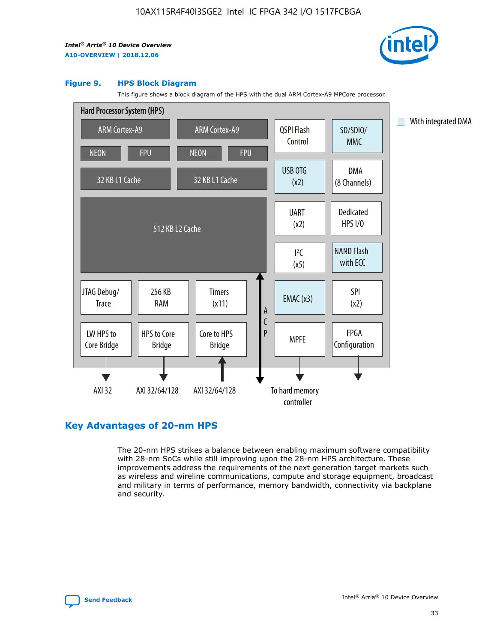

#### **Figure 9. HPS Block Diagram**

This figure shows a block diagram of the HPS with the dual ARM Cortex-A9 MPCore processor.



## **Key Advantages of 20-nm HPS**

The 20-nm HPS strikes a balance between enabling maximum software compatibility with 28-nm SoCs while still improving upon the 28-nm HPS architecture. These improvements address the requirements of the next generation target markets such as wireless and wireline communications, compute and storage equipment, broadcast and military in terms of performance, memory bandwidth, connectivity via backplane and security.

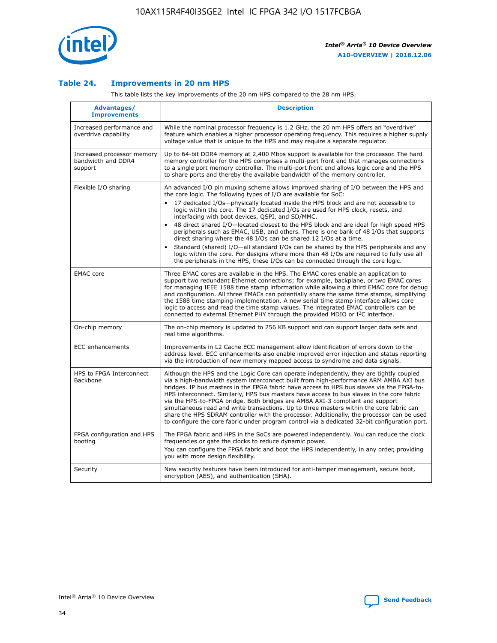

## **Table 24. Improvements in 20 nm HPS**

This table lists the key improvements of the 20 nm HPS compared to the 28 nm HPS.

| Advantages/<br><b>Improvements</b>                          | <b>Description</b>                                                                                                                                                                                                                                                                                                                                                                                                                                                                                                                                                                                                                                                                                                                                                                                                                                                                                                                   |
|-------------------------------------------------------------|--------------------------------------------------------------------------------------------------------------------------------------------------------------------------------------------------------------------------------------------------------------------------------------------------------------------------------------------------------------------------------------------------------------------------------------------------------------------------------------------------------------------------------------------------------------------------------------------------------------------------------------------------------------------------------------------------------------------------------------------------------------------------------------------------------------------------------------------------------------------------------------------------------------------------------------|
| Increased performance and<br>overdrive capability           | While the nominal processor frequency is 1.2 GHz, the 20 nm HPS offers an "overdrive"<br>feature which enables a higher processor operating frequency. This requires a higher supply<br>voltage value that is unique to the HPS and may require a separate regulator.                                                                                                                                                                                                                                                                                                                                                                                                                                                                                                                                                                                                                                                                |
| Increased processor memory<br>bandwidth and DDR4<br>support | Up to 64-bit DDR4 memory at 2,400 Mbps support is available for the processor. The hard<br>memory controller for the HPS comprises a multi-port front end that manages connections<br>to a single port memory controller. The multi-port front end allows logic core and the HPS<br>to share ports and thereby the available bandwidth of the memory controller.                                                                                                                                                                                                                                                                                                                                                                                                                                                                                                                                                                     |
| Flexible I/O sharing                                        | An advanced I/O pin muxing scheme allows improved sharing of I/O between the HPS and<br>the core logic. The following types of I/O are available for SoC:<br>17 dedicated I/Os-physically located inside the HPS block and are not accessible to<br>logic within the core. The 17 dedicated I/Os are used for HPS clock, resets, and<br>interfacing with boot devices, QSPI, and SD/MMC.<br>48 direct shared I/O-located closest to the HPS block and are ideal for high speed HPS<br>$\bullet$<br>peripherals such as EMAC, USB, and others. There is one bank of 48 I/Os that supports<br>direct sharing where the 48 I/Os can be shared 12 I/Os at a time.<br>Standard (shared) I/O-all standard I/Os can be shared by the HPS peripherals and any<br>logic within the core. For designs where more than 48 I/Os are reguired to fully use all<br>the peripherals in the HPS, these I/Os can be connected through the core logic. |
| <b>EMAC</b> core                                            | Three EMAC cores are available in the HPS. The EMAC cores enable an application to<br>support two redundant Ethernet connections; for example, backplane, or two EMAC cores<br>for managing IEEE 1588 time stamp information while allowing a third EMAC core for debug<br>and configuration. All three EMACs can potentially share the same time stamps, simplifying<br>the 1588 time stamping implementation. A new serial time stamp interface allows core<br>logic to access and read the time stamp values. The integrated EMAC controllers can be<br>connected to external Ethernet PHY through the provided MDIO or I <sup>2</sup> C interface.                                                                                                                                                                                                                                                                               |
| On-chip memory                                              | The on-chip memory is updated to 256 KB support and can support larger data sets and<br>real time algorithms.                                                                                                                                                                                                                                                                                                                                                                                                                                                                                                                                                                                                                                                                                                                                                                                                                        |
| <b>ECC</b> enhancements                                     | Improvements in L2 Cache ECC management allow identification of errors down to the<br>address level. ECC enhancements also enable improved error injection and status reporting<br>via the introduction of new memory mapped access to syndrome and data signals.                                                                                                                                                                                                                                                                                                                                                                                                                                                                                                                                                                                                                                                                    |
| HPS to FPGA Interconnect<br>Backbone                        | Although the HPS and the Logic Core can operate independently, they are tightly coupled<br>via a high-bandwidth system interconnect built from high-performance ARM AMBA AXI bus<br>bridges. IP bus masters in the FPGA fabric have access to HPS bus slaves via the FPGA-to-<br>HPS interconnect. Similarly, HPS bus masters have access to bus slaves in the core fabric<br>via the HPS-to-FPGA bridge. Both bridges are AMBA AXI-3 compliant and support<br>simultaneous read and write transactions. Up to three masters within the core fabric can<br>share the HPS SDRAM controller with the processor. Additionally, the processor can be used<br>to configure the core fabric under program control via a dedicated 32-bit configuration port.                                                                                                                                                                               |
| FPGA configuration and HPS<br>booting                       | The FPGA fabric and HPS in the SoCs are powered independently. You can reduce the clock<br>frequencies or gate the clocks to reduce dynamic power.<br>You can configure the FPGA fabric and boot the HPS independently, in any order, providing<br>you with more design flexibility.                                                                                                                                                                                                                                                                                                                                                                                                                                                                                                                                                                                                                                                 |
| Security                                                    | New security features have been introduced for anti-tamper management, secure boot,<br>encryption (AES), and authentication (SHA).                                                                                                                                                                                                                                                                                                                                                                                                                                                                                                                                                                                                                                                                                                                                                                                                   |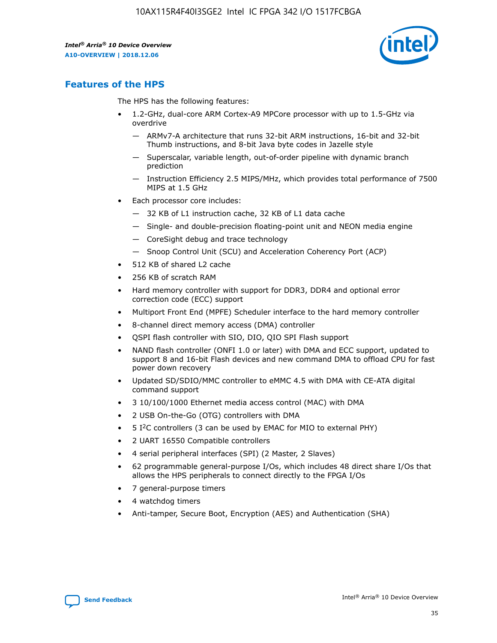

# **Features of the HPS**

The HPS has the following features:

- 1.2-GHz, dual-core ARM Cortex-A9 MPCore processor with up to 1.5-GHz via overdrive
	- ARMv7-A architecture that runs 32-bit ARM instructions, 16-bit and 32-bit Thumb instructions, and 8-bit Java byte codes in Jazelle style
	- Superscalar, variable length, out-of-order pipeline with dynamic branch prediction
	- Instruction Efficiency 2.5 MIPS/MHz, which provides total performance of 7500 MIPS at 1.5 GHz
- Each processor core includes:
	- 32 KB of L1 instruction cache, 32 KB of L1 data cache
	- Single- and double-precision floating-point unit and NEON media engine
	- CoreSight debug and trace technology
	- Snoop Control Unit (SCU) and Acceleration Coherency Port (ACP)
- 512 KB of shared L2 cache
- 256 KB of scratch RAM
- Hard memory controller with support for DDR3, DDR4 and optional error correction code (ECC) support
- Multiport Front End (MPFE) Scheduler interface to the hard memory controller
- 8-channel direct memory access (DMA) controller
- QSPI flash controller with SIO, DIO, QIO SPI Flash support
- NAND flash controller (ONFI 1.0 or later) with DMA and ECC support, updated to support 8 and 16-bit Flash devices and new command DMA to offload CPU for fast power down recovery
- Updated SD/SDIO/MMC controller to eMMC 4.5 with DMA with CE-ATA digital command support
- 3 10/100/1000 Ethernet media access control (MAC) with DMA
- 2 USB On-the-Go (OTG) controllers with DMA
- $\bullet$  5 I<sup>2</sup>C controllers (3 can be used by EMAC for MIO to external PHY)
- 2 UART 16550 Compatible controllers
- 4 serial peripheral interfaces (SPI) (2 Master, 2 Slaves)
- 62 programmable general-purpose I/Os, which includes 48 direct share I/Os that allows the HPS peripherals to connect directly to the FPGA I/Os
- 7 general-purpose timers
- 4 watchdog timers
- Anti-tamper, Secure Boot, Encryption (AES) and Authentication (SHA)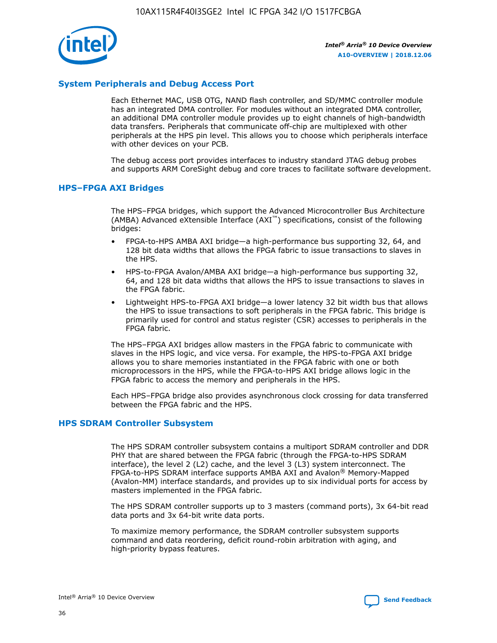

## **System Peripherals and Debug Access Port**

Each Ethernet MAC, USB OTG, NAND flash controller, and SD/MMC controller module has an integrated DMA controller. For modules without an integrated DMA controller, an additional DMA controller module provides up to eight channels of high-bandwidth data transfers. Peripherals that communicate off-chip are multiplexed with other peripherals at the HPS pin level. This allows you to choose which peripherals interface with other devices on your PCB.

The debug access port provides interfaces to industry standard JTAG debug probes and supports ARM CoreSight debug and core traces to facilitate software development.

## **HPS–FPGA AXI Bridges**

The HPS–FPGA bridges, which support the Advanced Microcontroller Bus Architecture (AMBA) Advanced eXtensible Interface (AXI™) specifications, consist of the following bridges:

- FPGA-to-HPS AMBA AXI bridge—a high-performance bus supporting 32, 64, and 128 bit data widths that allows the FPGA fabric to issue transactions to slaves in the HPS.
- HPS-to-FPGA Avalon/AMBA AXI bridge—a high-performance bus supporting 32, 64, and 128 bit data widths that allows the HPS to issue transactions to slaves in the FPGA fabric.
- Lightweight HPS-to-FPGA AXI bridge—a lower latency 32 bit width bus that allows the HPS to issue transactions to soft peripherals in the FPGA fabric. This bridge is primarily used for control and status register (CSR) accesses to peripherals in the FPGA fabric.

The HPS–FPGA AXI bridges allow masters in the FPGA fabric to communicate with slaves in the HPS logic, and vice versa. For example, the HPS-to-FPGA AXI bridge allows you to share memories instantiated in the FPGA fabric with one or both microprocessors in the HPS, while the FPGA-to-HPS AXI bridge allows logic in the FPGA fabric to access the memory and peripherals in the HPS.

Each HPS–FPGA bridge also provides asynchronous clock crossing for data transferred between the FPGA fabric and the HPS.

### **HPS SDRAM Controller Subsystem**

The HPS SDRAM controller subsystem contains a multiport SDRAM controller and DDR PHY that are shared between the FPGA fabric (through the FPGA-to-HPS SDRAM interface), the level 2 (L2) cache, and the level 3 (L3) system interconnect. The FPGA-to-HPS SDRAM interface supports AMBA AXI and Avalon® Memory-Mapped (Avalon-MM) interface standards, and provides up to six individual ports for access by masters implemented in the FPGA fabric.

The HPS SDRAM controller supports up to 3 masters (command ports), 3x 64-bit read data ports and 3x 64-bit write data ports.

To maximize memory performance, the SDRAM controller subsystem supports command and data reordering, deficit round-robin arbitration with aging, and high-priority bypass features.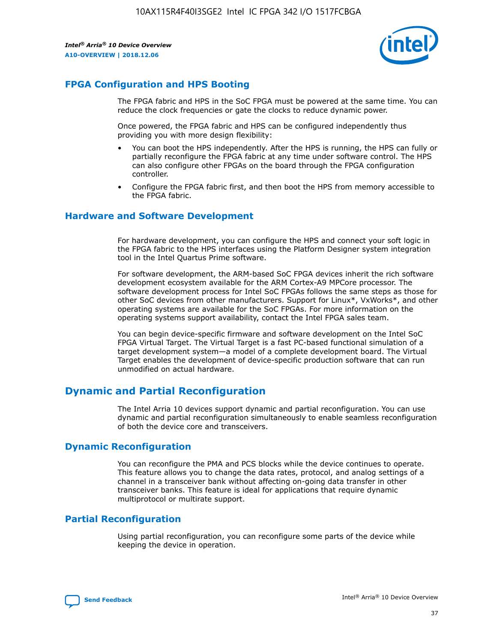

## **FPGA Configuration and HPS Booting**

The FPGA fabric and HPS in the SoC FPGA must be powered at the same time. You can reduce the clock frequencies or gate the clocks to reduce dynamic power.

Once powered, the FPGA fabric and HPS can be configured independently thus providing you with more design flexibility:

- You can boot the HPS independently. After the HPS is running, the HPS can fully or partially reconfigure the FPGA fabric at any time under software control. The HPS can also configure other FPGAs on the board through the FPGA configuration controller.
- Configure the FPGA fabric first, and then boot the HPS from memory accessible to the FPGA fabric.

## **Hardware and Software Development**

For hardware development, you can configure the HPS and connect your soft logic in the FPGA fabric to the HPS interfaces using the Platform Designer system integration tool in the Intel Quartus Prime software.

For software development, the ARM-based SoC FPGA devices inherit the rich software development ecosystem available for the ARM Cortex-A9 MPCore processor. The software development process for Intel SoC FPGAs follows the same steps as those for other SoC devices from other manufacturers. Support for Linux\*, VxWorks\*, and other operating systems are available for the SoC FPGAs. For more information on the operating systems support availability, contact the Intel FPGA sales team.

You can begin device-specific firmware and software development on the Intel SoC FPGA Virtual Target. The Virtual Target is a fast PC-based functional simulation of a target development system—a model of a complete development board. The Virtual Target enables the development of device-specific production software that can run unmodified on actual hardware.

## **Dynamic and Partial Reconfiguration**

The Intel Arria 10 devices support dynamic and partial reconfiguration. You can use dynamic and partial reconfiguration simultaneously to enable seamless reconfiguration of both the device core and transceivers.

## **Dynamic Reconfiguration**

You can reconfigure the PMA and PCS blocks while the device continues to operate. This feature allows you to change the data rates, protocol, and analog settings of a channel in a transceiver bank without affecting on-going data transfer in other transceiver banks. This feature is ideal for applications that require dynamic multiprotocol or multirate support.

## **Partial Reconfiguration**

Using partial reconfiguration, you can reconfigure some parts of the device while keeping the device in operation.

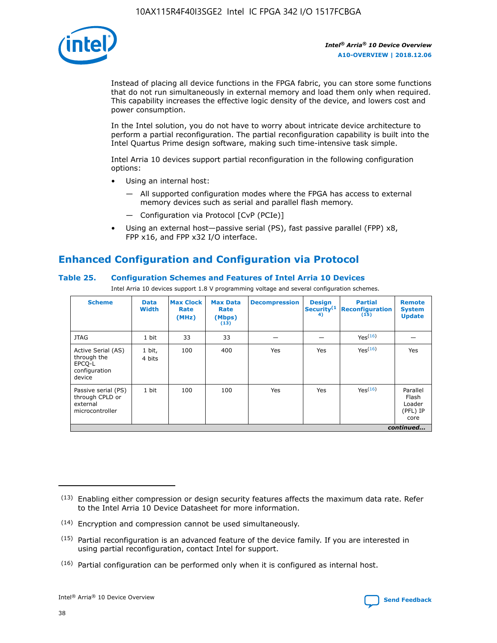

Instead of placing all device functions in the FPGA fabric, you can store some functions that do not run simultaneously in external memory and load them only when required. This capability increases the effective logic density of the device, and lowers cost and power consumption.

In the Intel solution, you do not have to worry about intricate device architecture to perform a partial reconfiguration. The partial reconfiguration capability is built into the Intel Quartus Prime design software, making such time-intensive task simple.

Intel Arria 10 devices support partial reconfiguration in the following configuration options:

- Using an internal host:
	- All supported configuration modes where the FPGA has access to external memory devices such as serial and parallel flash memory.
	- Configuration via Protocol [CvP (PCIe)]
- Using an external host—passive serial (PS), fast passive parallel (FPP) x8, FPP x16, and FPP x32 I/O interface.

# **Enhanced Configuration and Configuration via Protocol**

## **Table 25. Configuration Schemes and Features of Intel Arria 10 Devices**

Intel Arria 10 devices support 1.8 V programming voltage and several configuration schemes.

| <b>Scheme</b>                                                          | <b>Data</b><br><b>Width</b> | <b>Max Clock</b><br>Rate<br>(MHz) | <b>Max Data</b><br>Rate<br>(Mbps)<br>(13) | <b>Decompression</b> | <b>Design</b><br>Security <sup>(1</sup><br>4) | <b>Partial</b><br>Reconfiguration<br>(15) | <b>Remote</b><br><b>System</b><br><b>Update</b> |
|------------------------------------------------------------------------|-----------------------------|-----------------------------------|-------------------------------------------|----------------------|-----------------------------------------------|-------------------------------------------|-------------------------------------------------|
| <b>JTAG</b>                                                            | 1 bit                       | 33                                | 33                                        |                      |                                               | Yes(16)                                   |                                                 |
| Active Serial (AS)<br>through the<br>EPCO-L<br>configuration<br>device | 1 bit,<br>4 bits            | 100                               | 400                                       | Yes                  | Yes                                           | Yes(16)                                   | Yes                                             |
| Passive serial (PS)<br>through CPLD or<br>external<br>microcontroller  | 1 bit                       | 100                               | 100                                       | Yes                  | Yes                                           | Yes <sup>(16)</sup>                       | Parallel<br>Flash<br>Loader<br>(PFL) IP<br>core |
|                                                                        |                             |                                   |                                           |                      |                                               |                                           | continued                                       |

<sup>(13)</sup> Enabling either compression or design security features affects the maximum data rate. Refer to the Intel Arria 10 Device Datasheet for more information.

<sup>(14)</sup> Encryption and compression cannot be used simultaneously.

 $(15)$  Partial reconfiguration is an advanced feature of the device family. If you are interested in using partial reconfiguration, contact Intel for support.

 $(16)$  Partial configuration can be performed only when it is configured as internal host.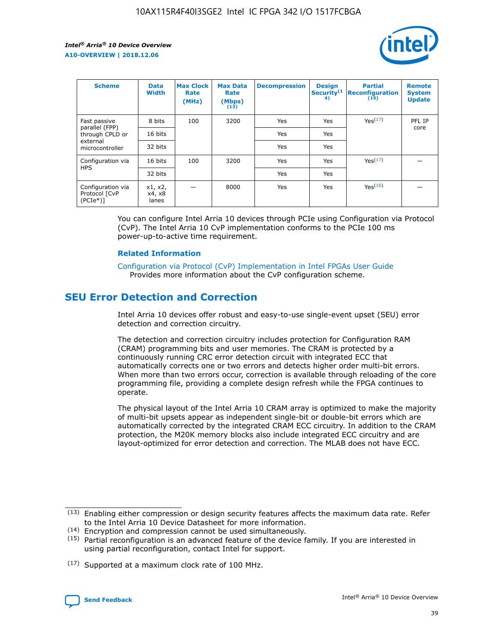

| <b>Scheme</b>                                   | <b>Data</b><br><b>Width</b> | <b>Max Clock</b><br>Rate<br>(MHz) | <b>Max Data</b><br>Rate<br>(Mbps)<br>(13) | <b>Decompression</b> | <b>Design</b><br>Security <sup>(1</sup><br>4) | <b>Partial</b><br><b>Reconfiguration</b><br>(15) | <b>Remote</b><br><b>System</b><br><b>Update</b> |
|-------------------------------------------------|-----------------------------|-----------------------------------|-------------------------------------------|----------------------|-----------------------------------------------|--------------------------------------------------|-------------------------------------------------|
| Fast passive                                    | 8 bits                      | 100                               | 3200                                      | Yes                  | Yes                                           | Yes(17)                                          | PFL IP                                          |
| parallel (FPP)<br>through CPLD or               | 16 bits                     |                                   |                                           | Yes                  | Yes                                           |                                                  | core                                            |
| external<br>microcontroller                     | 32 bits                     |                                   |                                           | Yes                  | Yes                                           |                                                  |                                                 |
| Configuration via                               | 16 bits                     | 100                               | 3200                                      | Yes                  | Yes                                           | Yes <sup>(17)</sup>                              |                                                 |
| <b>HPS</b>                                      | 32 bits                     |                                   |                                           | Yes                  | Yes                                           |                                                  |                                                 |
| Configuration via<br>Protocol [CvP<br>$(PCIe*)$ | x1, x2,<br>x4, x8<br>lanes  |                                   | 8000                                      | Yes                  | Yes                                           | Yes(16)                                          |                                                 |

You can configure Intel Arria 10 devices through PCIe using Configuration via Protocol (CvP). The Intel Arria 10 CvP implementation conforms to the PCIe 100 ms power-up-to-active time requirement.

### **Related Information**

[Configuration via Protocol \(CvP\) Implementation in Intel FPGAs User Guide](https://www.intel.com/content/www/us/en/programmable/documentation/dsu1441819344145.html#dsu1442269728522) Provides more information about the CvP configuration scheme.

# **SEU Error Detection and Correction**

Intel Arria 10 devices offer robust and easy-to-use single-event upset (SEU) error detection and correction circuitry.

The detection and correction circuitry includes protection for Configuration RAM (CRAM) programming bits and user memories. The CRAM is protected by a continuously running CRC error detection circuit with integrated ECC that automatically corrects one or two errors and detects higher order multi-bit errors. When more than two errors occur, correction is available through reloading of the core programming file, providing a complete design refresh while the FPGA continues to operate.

The physical layout of the Intel Arria 10 CRAM array is optimized to make the majority of multi-bit upsets appear as independent single-bit or double-bit errors which are automatically corrected by the integrated CRAM ECC circuitry. In addition to the CRAM protection, the M20K memory blocks also include integrated ECC circuitry and are layout-optimized for error detection and correction. The MLAB does not have ECC.

(14) Encryption and compression cannot be used simultaneously.

<sup>(17)</sup> Supported at a maximum clock rate of 100 MHz.



 $(13)$  Enabling either compression or design security features affects the maximum data rate. Refer to the Intel Arria 10 Device Datasheet for more information.

 $(15)$  Partial reconfiguration is an advanced feature of the device family. If you are interested in using partial reconfiguration, contact Intel for support.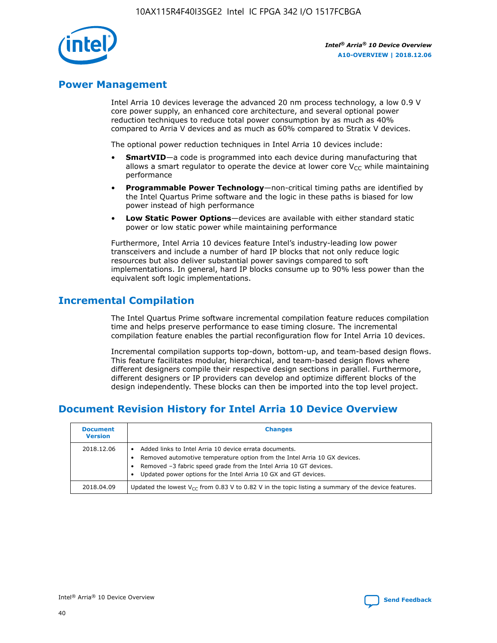

## **Power Management**

Intel Arria 10 devices leverage the advanced 20 nm process technology, a low 0.9 V core power supply, an enhanced core architecture, and several optional power reduction techniques to reduce total power consumption by as much as 40% compared to Arria V devices and as much as 60% compared to Stratix V devices.

The optional power reduction techniques in Intel Arria 10 devices include:

- **SmartVID**—a code is programmed into each device during manufacturing that allows a smart regulator to operate the device at lower core  $V_{CC}$  while maintaining performance
- **Programmable Power Technology**—non-critical timing paths are identified by the Intel Quartus Prime software and the logic in these paths is biased for low power instead of high performance
- **Low Static Power Options**—devices are available with either standard static power or low static power while maintaining performance

Furthermore, Intel Arria 10 devices feature Intel's industry-leading low power transceivers and include a number of hard IP blocks that not only reduce logic resources but also deliver substantial power savings compared to soft implementations. In general, hard IP blocks consume up to 90% less power than the equivalent soft logic implementations.

# **Incremental Compilation**

The Intel Quartus Prime software incremental compilation feature reduces compilation time and helps preserve performance to ease timing closure. The incremental compilation feature enables the partial reconfiguration flow for Intel Arria 10 devices.

Incremental compilation supports top-down, bottom-up, and team-based design flows. This feature facilitates modular, hierarchical, and team-based design flows where different designers compile their respective design sections in parallel. Furthermore, different designers or IP providers can develop and optimize different blocks of the design independently. These blocks can then be imported into the top level project.

# **Document Revision History for Intel Arria 10 Device Overview**

| <b>Document</b><br><b>Version</b> | <b>Changes</b>                                                                                                                                                                                                                                                              |
|-----------------------------------|-----------------------------------------------------------------------------------------------------------------------------------------------------------------------------------------------------------------------------------------------------------------------------|
| 2018.12.06                        | Added links to Intel Arria 10 device errata documents.<br>Removed automotive temperature option from the Intel Arria 10 GX devices.<br>Removed -3 fabric speed grade from the Intel Arria 10 GT devices.<br>Updated power options for the Intel Arria 10 GX and GT devices. |
| 2018.04.09                        | Updated the lowest $V_{CC}$ from 0.83 V to 0.82 V in the topic listing a summary of the device features.                                                                                                                                                                    |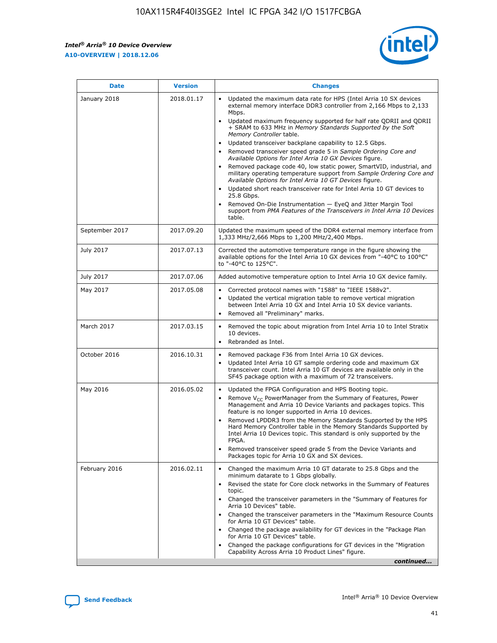*Intel® Arria® 10 Device Overview* **A10-OVERVIEW | 2018.12.06**



| <b>Date</b>    | <b>Version</b> | <b>Changes</b>                                                                                                                                                                                                                                                                                                                                                                                                                                                                                                                                                                                                                                                                                                                                                                                                                                                                                                                                                            |
|----------------|----------------|---------------------------------------------------------------------------------------------------------------------------------------------------------------------------------------------------------------------------------------------------------------------------------------------------------------------------------------------------------------------------------------------------------------------------------------------------------------------------------------------------------------------------------------------------------------------------------------------------------------------------------------------------------------------------------------------------------------------------------------------------------------------------------------------------------------------------------------------------------------------------------------------------------------------------------------------------------------------------|
| January 2018   | 2018.01.17     | Updated the maximum data rate for HPS (Intel Arria 10 SX devices<br>external memory interface DDR3 controller from 2,166 Mbps to 2,133<br>Mbps.<br>Updated maximum frequency supported for half rate QDRII and QDRII<br>+ SRAM to 633 MHz in Memory Standards Supported by the Soft<br>Memory Controller table.<br>Updated transceiver backplane capability to 12.5 Gbps.<br>$\bullet$<br>Removed transceiver speed grade 5 in Sample Ordering Core and<br>Available Options for Intel Arria 10 GX Devices figure.<br>Removed package code 40, low static power, SmartVID, industrial, and<br>military operating temperature support from Sample Ordering Core and<br>Available Options for Intel Arria 10 GT Devices figure.<br>Updated short reach transceiver rate for Intel Arria 10 GT devices to<br>25.8 Gbps.<br>Removed On-Die Instrumentation - EyeQ and Jitter Margin Tool<br>support from PMA Features of the Transceivers in Intel Arria 10 Devices<br>table. |
| September 2017 | 2017.09.20     | Updated the maximum speed of the DDR4 external memory interface from<br>1,333 MHz/2,666 Mbps to 1,200 MHz/2,400 Mbps.                                                                                                                                                                                                                                                                                                                                                                                                                                                                                                                                                                                                                                                                                                                                                                                                                                                     |
| July 2017      | 2017.07.13     | Corrected the automotive temperature range in the figure showing the<br>available options for the Intel Arria 10 GX devices from "-40°C to 100°C"<br>to "-40°C to 125°C".                                                                                                                                                                                                                                                                                                                                                                                                                                                                                                                                                                                                                                                                                                                                                                                                 |
| July 2017      | 2017.07.06     | Added automotive temperature option to Intel Arria 10 GX device family.                                                                                                                                                                                                                                                                                                                                                                                                                                                                                                                                                                                                                                                                                                                                                                                                                                                                                                   |
| May 2017       | 2017.05.08     | Corrected protocol names with "1588" to "IEEE 1588v2".<br>$\bullet$<br>Updated the vertical migration table to remove vertical migration<br>$\bullet$<br>between Intel Arria 10 GX and Intel Arria 10 SX device variants.<br>Removed all "Preliminary" marks.<br>$\bullet$                                                                                                                                                                                                                                                                                                                                                                                                                                                                                                                                                                                                                                                                                                |
| March 2017     | 2017.03.15     | Removed the topic about migration from Intel Arria 10 to Intel Stratix<br>10 devices.<br>Rebranded as Intel.<br>$\bullet$                                                                                                                                                                                                                                                                                                                                                                                                                                                                                                                                                                                                                                                                                                                                                                                                                                                 |
| October 2016   | 2016.10.31     | Removed package F36 from Intel Arria 10 GX devices.<br>Updated Intel Arria 10 GT sample ordering code and maximum GX<br>$\bullet$<br>transceiver count. Intel Arria 10 GT devices are available only in the<br>SF45 package option with a maximum of 72 transceivers.                                                                                                                                                                                                                                                                                                                                                                                                                                                                                                                                                                                                                                                                                                     |
| May 2016       | 2016.05.02     | Updated the FPGA Configuration and HPS Booting topic.<br>$\bullet$<br>Remove V <sub>CC</sub> PowerManager from the Summary of Features, Power<br>Management and Arria 10 Device Variants and packages topics. This<br>feature is no longer supported in Arria 10 devices.<br>Removed LPDDR3 from the Memory Standards Supported by the HPS<br>Hard Memory Controller table in the Memory Standards Supported by<br>Intel Arria 10 Devices topic. This standard is only supported by the<br>FPGA.<br>Removed transceiver speed grade 5 from the Device Variants and<br>Packages topic for Arria 10 GX and SX devices.                                                                                                                                                                                                                                                                                                                                                      |
| February 2016  | 2016.02.11     | Changed the maximum Arria 10 GT datarate to 25.8 Gbps and the<br>minimum datarate to 1 Gbps globally.<br>Revised the state for Core clock networks in the Summary of Features<br>$\bullet$<br>topic.<br>Changed the transceiver parameters in the "Summary of Features for<br>$\bullet$<br>Arria 10 Devices" table.<br>• Changed the transceiver parameters in the "Maximum Resource Counts<br>for Arria 10 GT Devices" table.<br>Changed the package availability for GT devices in the "Package Plan<br>for Arria 10 GT Devices" table.<br>Changed the package configurations for GT devices in the "Migration"<br>Capability Across Arria 10 Product Lines" figure.<br>continued                                                                                                                                                                                                                                                                                       |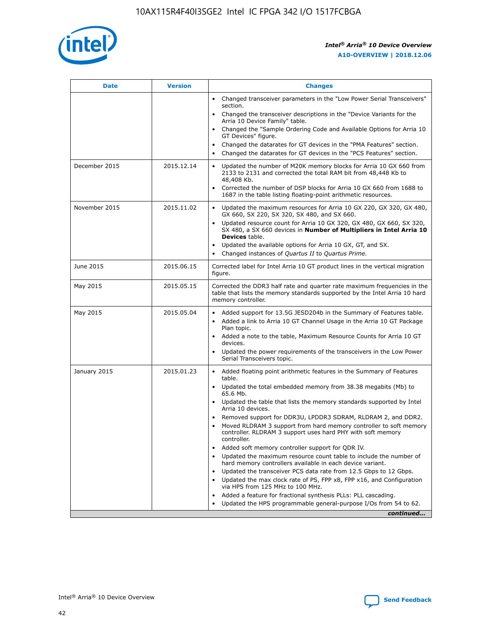

| <b>Date</b>   | <b>Version</b> | <b>Changes</b>                                                                                                                                                               |
|---------------|----------------|------------------------------------------------------------------------------------------------------------------------------------------------------------------------------|
|               |                | Changed transceiver parameters in the "Low Power Serial Transceivers"<br>$\bullet$<br>section.                                                                               |
|               |                | • Changed the transceiver descriptions in the "Device Variants for the<br>Arria 10 Device Family" table.                                                                     |
|               |                | • Changed the "Sample Ordering Code and Available Options for Arria 10<br>GT Devices" figure.                                                                                |
|               |                | Changed the datarates for GT devices in the "PMA Features" section.                                                                                                          |
|               |                | Changed the datarates for GT devices in the "PCS Features" section.<br>$\bullet$                                                                                             |
| December 2015 | 2015.12.14     | Updated the number of M20K memory blocks for Arria 10 GX 660 from<br>2133 to 2131 and corrected the total RAM bit from 48,448 Kb to<br>48,408 Kb.                            |
|               |                | Corrected the number of DSP blocks for Arria 10 GX 660 from 1688 to<br>$\bullet$<br>1687 in the table listing floating-point arithmetic resources.                           |
| November 2015 | 2015.11.02     | Updated the maximum resources for Arria 10 GX 220, GX 320, GX 480,<br>GX 660, SX 220, SX 320, SX 480, and SX 660.                                                            |
|               |                | Updated resource count for Arria 10 GX 320, GX 480, GX 660, SX 320,<br>SX 480, a SX 660 devices in Number of Multipliers in Intel Arria 10<br><b>Devices</b> table.          |
|               |                | Updated the available options for Arria 10 GX, GT, and SX.<br>$\bullet$                                                                                                      |
|               |                | Changed instances of Quartus II to Quartus Prime.<br>$\bullet$                                                                                                               |
| June 2015     | 2015.06.15     | Corrected label for Intel Arria 10 GT product lines in the vertical migration<br>figure.                                                                                     |
| May 2015      | 2015.05.15     | Corrected the DDR3 half rate and quarter rate maximum frequencies in the<br>table that lists the memory standards supported by the Intel Arria 10 hard<br>memory controller. |
| May 2015      | 2015.05.04     | • Added support for 13.5G JESD204b in the Summary of Features table.                                                                                                         |
|               |                | Added a link to Arria 10 GT Channel Usage in the Arria 10 GT Package<br>$\bullet$<br>Plan topic.                                                                             |
|               |                | • Added a note to the table, Maximum Resource Counts for Arria 10 GT<br>devices.                                                                                             |
|               |                | • Updated the power requirements of the transceivers in the Low Power<br>Serial Transceivers topic.                                                                          |
| January 2015  | 2015.01.23     | • Added floating point arithmetic features in the Summary of Features<br>table.                                                                                              |
|               |                | • Updated the total embedded memory from 38.38 megabits (Mb) to<br>65.6 Mb.                                                                                                  |
|               |                | • Updated the table that lists the memory standards supported by Intel<br>Arria 10 devices.                                                                                  |
|               |                | Removed support for DDR3U, LPDDR3 SDRAM, RLDRAM 2, and DDR2.                                                                                                                 |
|               |                | Moved RLDRAM 3 support from hard memory controller to soft memory<br>controller. RLDRAM 3 support uses hard PHY with soft memory<br>controller.                              |
|               |                | Added soft memory controller support for QDR IV.                                                                                                                             |
|               |                | Updated the maximum resource count table to include the number of<br>hard memory controllers available in each device variant.                                               |
|               |                | Updated the transceiver PCS data rate from 12.5 Gbps to 12 Gbps.                                                                                                             |
|               |                | Updated the max clock rate of PS, FPP x8, FPP x16, and Configuration<br>via HPS from 125 MHz to 100 MHz.                                                                     |
|               |                | Added a feature for fractional synthesis PLLs: PLL cascading.                                                                                                                |
|               |                | Updated the HPS programmable general-purpose I/Os from 54 to 62.<br>$\bullet$                                                                                                |
|               |                | continued                                                                                                                                                                    |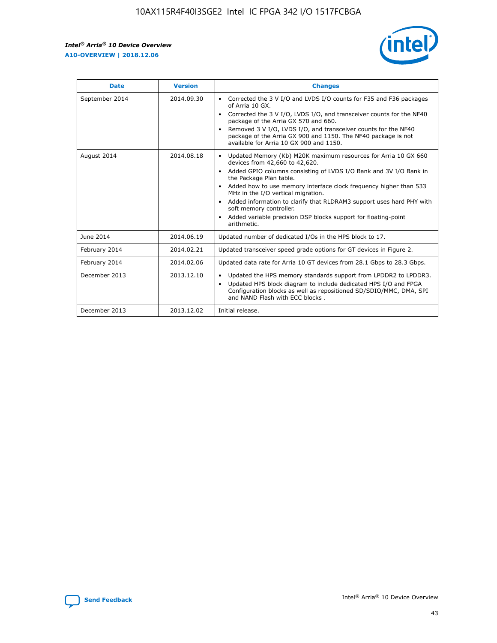r



| <b>Date</b>    | <b>Version</b> | <b>Changes</b>                                                                                                                                                                                                                                                                                                                                                                                                                                                                                                                                      |
|----------------|----------------|-----------------------------------------------------------------------------------------------------------------------------------------------------------------------------------------------------------------------------------------------------------------------------------------------------------------------------------------------------------------------------------------------------------------------------------------------------------------------------------------------------------------------------------------------------|
| September 2014 | 2014.09.30     | Corrected the 3 V I/O and LVDS I/O counts for F35 and F36 packages<br>$\bullet$<br>of Arria 10 GX.<br>Corrected the 3 V I/O, LVDS I/O, and transceiver counts for the NF40<br>$\bullet$<br>package of the Arria GX 570 and 660.<br>Removed 3 V I/O, LVDS I/O, and transceiver counts for the NF40<br>package of the Arria GX 900 and 1150. The NF40 package is not<br>available for Arria 10 GX 900 and 1150.                                                                                                                                       |
| August 2014    | 2014.08.18     | Updated Memory (Kb) M20K maximum resources for Arria 10 GX 660<br>devices from 42,660 to 42,620.<br>Added GPIO columns consisting of LVDS I/O Bank and 3V I/O Bank in<br>$\bullet$<br>the Package Plan table.<br>Added how to use memory interface clock frequency higher than 533<br>$\bullet$<br>MHz in the I/O vertical migration.<br>Added information to clarify that RLDRAM3 support uses hard PHY with<br>$\bullet$<br>soft memory controller.<br>Added variable precision DSP blocks support for floating-point<br>$\bullet$<br>arithmetic. |
| June 2014      | 2014.06.19     | Updated number of dedicated I/Os in the HPS block to 17.                                                                                                                                                                                                                                                                                                                                                                                                                                                                                            |
| February 2014  | 2014.02.21     | Updated transceiver speed grade options for GT devices in Figure 2.                                                                                                                                                                                                                                                                                                                                                                                                                                                                                 |
| February 2014  | 2014.02.06     | Updated data rate for Arria 10 GT devices from 28.1 Gbps to 28.3 Gbps.                                                                                                                                                                                                                                                                                                                                                                                                                                                                              |
| December 2013  | 2013.12.10     | Updated the HPS memory standards support from LPDDR2 to LPDDR3.<br>Updated HPS block diagram to include dedicated HPS I/O and FPGA<br>$\bullet$<br>Configuration blocks as well as repositioned SD/SDIO/MMC, DMA, SPI<br>and NAND Flash with ECC blocks.                                                                                                                                                                                                                                                                                            |
| December 2013  | 2013.12.02     | Initial release.                                                                                                                                                                                                                                                                                                                                                                                                                                                                                                                                    |